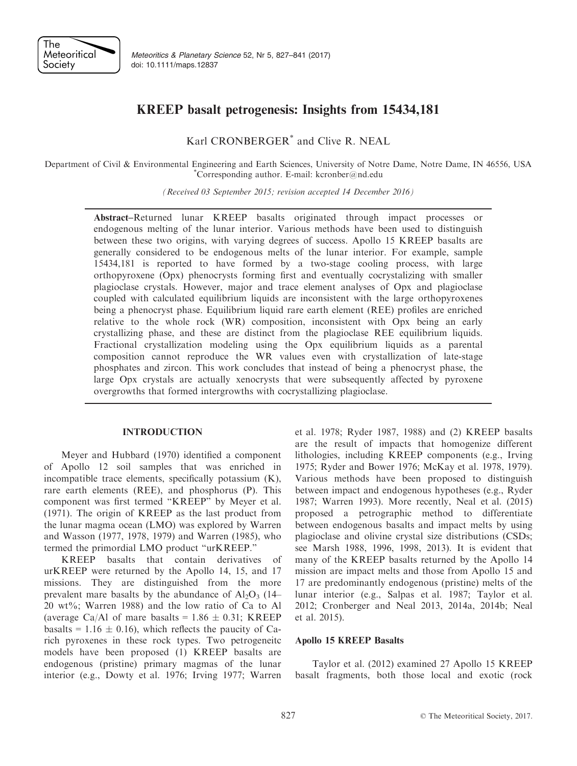

Meteoritics & Planetary Science 52, Nr 5, 827–841 (2017) doi: 10.1111/maps.12837

## KREEP basalt petrogenesis: Insights from 15434,181

Karl CRONBERGER\* and Clive R. NEAL

Department of Civil & Environmental Engineering and Earth Sciences, University of Notre Dame, Notre Dame, IN 46556, USA \* Corresponding author. E-mail: kcronber@nd.edu

(Received 03 September 2015; revision accepted 14 December 2016)

Abstract–Returned lunar KREEP basalts originated through impact processes or endogenous melting of the lunar interior. Various methods have been used to distinguish between these two origins, with varying degrees of success. Apollo 15 KREEP basalts are generally considered to be endogenous melts of the lunar interior. For example, sample 15434,181 is reported to have formed by a two-stage cooling process, with large orthopyroxene (Opx) phenocrysts forming first and eventually cocrystalizing with smaller plagioclase crystals. However, major and trace element analyses of Opx and plagioclase coupled with calculated equilibrium liquids are inconsistent with the large orthopyroxenes being a phenocryst phase. Equilibrium liquid rare earth element (REE) profiles are enriched relative to the whole rock (WR) composition, inconsistent with Opx being an early crystallizing phase, and these are distinct from the plagioclase REE equilibrium liquids. Fractional crystallization modeling using the Opx equilibrium liquids as a parental composition cannot reproduce the WR values even with crystallization of late-stage phosphates and zircon. This work concludes that instead of being a phenocryst phase, the large Opx crystals are actually xenocrysts that were subsequently affected by pyroxene overgrowths that formed intergrowths with cocrystallizing plagioclase.

Meyer and Hubbard (1970) identified a component of Apollo 12 soil samples that was enriched in incompatible trace elements, specifically potassium (K), rare earth elements (REE), and phosphorus (P). This component was first termed "KREEP" by Meyer et al. (1971). The origin of KREEP as the last product from the lunar magma ocean (LMO) was explored by Warren and Wasson (1977, 1978, 1979) and Warren (1985), who termed the primordial LMO product "urKREEP."

KREEP basalts that contain derivatives of urKREEP were returned by the Apollo 14, 15, and 17 missions. They are distinguished from the more prevalent mare basalts by the abundance of  $Al_2O_3$  (14– 20 wt%; Warren 1988) and the low ratio of Ca to Al (average Ca/Al of mare basalts =  $1.86 \pm 0.31$ ; KREEP basalts = 1.16  $\pm$  0.16), which reflects the paucity of Carich pyroxenes in these rock types. Two petrogeneitc models have been proposed (1) KREEP basalts are endogenous (pristine) primary magmas of the lunar interior (e.g., Dowty et al. 1976; Irving 1977; Warren

et al. 1978; Ryder 1987, 1988) and (2) KREEP basalts are the result of impacts that homogenize different lithologies, including KREEP components (e.g., Irving 1975; Ryder and Bower 1976; McKay et al. 1978, 1979). Various methods have been proposed to distinguish between impact and endogenous hypotheses (e.g., Ryder 1987; Warren 1993). More recently, Neal et al. (2015) proposed a petrographic method to differentiate between endogenous basalts and impact melts by using plagioclase and olivine crystal size distributions (CSDs; see Marsh 1988, 1996, 1998, 2013). It is evident that many of the KREEP basalts returned by the Apollo 14 mission are impact melts and those from Apollo 15 and 17 are predominantly endogenous (pristine) melts of the lunar interior (e.g., Salpas et al. 1987; Taylor et al. 2012; Cronberger and Neal 2013, 2014a, 2014b; Neal et al. 2015).

# Apollo 15 KREEP Basalts

Taylor et al. (2012) examined 27 Apollo 15 KREEP basalt fragments, both those local and exotic (rock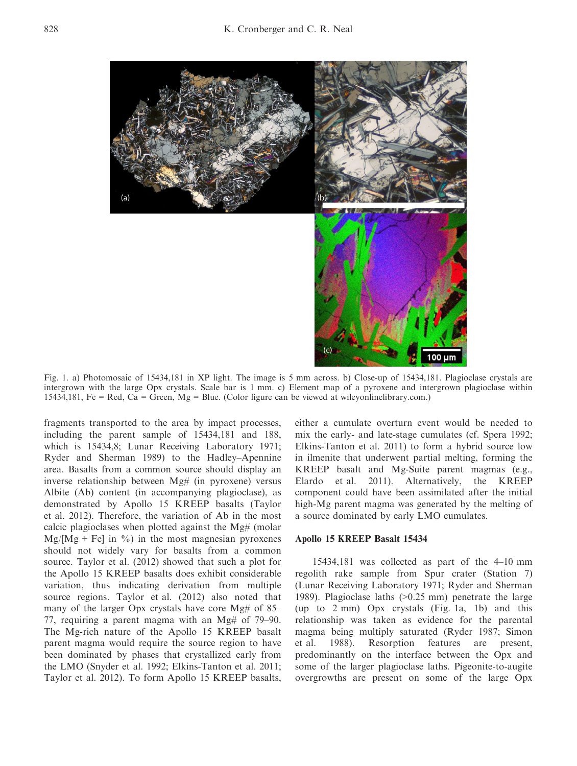

Fig. 1. a) Photomosaic of 15434,181 in XP light. The image is 5 mm across. b) Close-up of 15434,181. Plagioclase crystals are intergrown with the large Opx crystals. Scale bar is 1 mm. c) Element map of a pyroxene and intergrown plagioclase within 15434,181, Fe = Red, Ca = Green, Mg = Blue. (Color figure can be viewed at wileyonlinelibrary.com.)

fragments transported to the area by impact processes, including the parent sample of 15434,181 and 188, which is 15434,8; Lunar Receiving Laboratory 1971; Ryder and Sherman 1989) to the Hadley–Apennine area. Basalts from a common source should display an inverse relationship between Mg# (in pyroxene) versus Albite (Ab) content (in accompanying plagioclase), as demonstrated by Apollo 15 KREEP basalts (Taylor et al. 2012). Therefore, the variation of Ab in the most calcic plagioclases when plotted against the Mg# (molar  $Mg/[Mg + Fe]$  in %) in the most magnesian pyroxenes should not widely vary for basalts from a common source. Taylor et al. (2012) showed that such a plot for the Apollo 15 KREEP basalts does exhibit considerable variation, thus indicating derivation from multiple source regions. Taylor et al. (2012) also noted that many of the larger Opx crystals have core Mg# of 85– 77, requiring a parent magma with an Mg# of 79–90. The Mg-rich nature of the Apollo 15 KREEP basalt parent magma would require the source region to have been dominated by phases that crystallized early from the LMO (Snyder et al. 1992; Elkins-Tanton et al. 2011; Taylor et al. 2012). To form Apollo 15 KREEP basalts, either a cumulate overturn event would be needed to mix the early- and late-stage cumulates (cf. Spera 1992; Elkins-Tanton et al. 2011) to form a hybrid source low in ilmenite that underwent partial melting, forming the KREEP basalt and Mg-Suite parent magmas (e.g., Elardo et al. 2011). Alternatively, the KREEP component could have been assimilated after the initial high-Mg parent magma was generated by the melting of a source dominated by early LMO cumulates.

### Apollo 15 KREEP Basalt 15434

15434,181 was collected as part of the 4–10 mm regolith rake sample from Spur crater (Station 7) (Lunar Receiving Laboratory 1971; Ryder and Sherman 1989). Plagioclase laths (>0.25 mm) penetrate the large (up to 2 mm) Opx crystals (Fig. 1a, 1b) and this relationship was taken as evidence for the parental magma being multiply saturated (Ryder 1987; Simon et al. 1988). Resorption features are present, predominantly on the interface between the Opx and some of the larger plagioclase laths. Pigeonite-to-augite overgrowths are present on some of the large Opx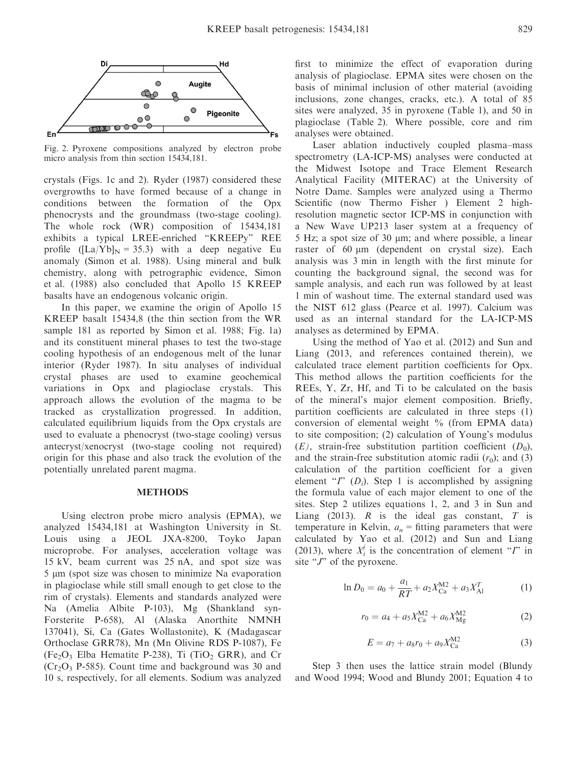

Fig. 2. Pyroxene compositions analyzed by electron probe micro analysis from thin section 15434,181.

crystals (Figs. 1c and 2). Ryder (1987) considered these overgrowths to have formed because of a change in conditions between the formation of the Opx phenocrysts and the groundmass (two-stage cooling). The whole rock (WR) composition of 15434,181 exhibits a typical LREE-enriched "KREEPy" REE profile  $(ILa/Yb]_N = 35.3$  with a deep negative Eu anomaly (Simon et al. 1988). Using mineral and bulk chemistry, along with petrographic evidence, Simon et al. (1988) also concluded that Apollo 15 KREEP basalts have an endogenous volcanic origin.

In this paper, we examine the origin of Apollo 15 KREEP basalt 15434,8 (the thin section from the WR sample 181 as reported by Simon et al. 1988; Fig. 1a) and its constituent mineral phases to test the two-stage cooling hypothesis of an endogenous melt of the lunar interior (Ryder 1987). In situ analyses of individual crystal phases are used to examine geochemical variations in Opx and plagioclase crystals. This approach allows the evolution of the magma to be tracked as crystallization progressed. In addition, calculated equilibrium liquids from the Opx crystals are used to evaluate a phenocryst (two-stage cooling) versus antecryst/xenocryst (two-stage cooling not required) origin for this phase and also track the evolution of the potentially unrelated parent magma.

Using electron probe micro analysis (EPMA), we analyzed 15434,181 at Washington University in St. Louis using a JEOL JXA-8200, Toyko Japan microprobe. For analyses, acceleration voltage was 15 kV, beam current was 25 nA, and spot size was 5 lm (spot size was chosen to minimize Na evaporation in plagioclase while still small enough to get close to the rim of crystals). Elements and standards analyzed were Na (Amelia Albite P-103), Mg (Shankland syn-Forsterite P-658), Al (Alaska Anorthite NMNH 137041), Si, Ca (Gates Wollastonite), K (Madagascar Orthoclase GRR78), Mn (Mn Olivine RDS P-1087), Fe  $(Fe<sub>2</sub>O<sub>3</sub>$  Elba Hematite P-238), Ti (TiO<sub>2</sub> GRR), and Cr  $(Cr<sub>2</sub>O<sub>3</sub> P-585)$ . Count time and background was 30 and 10 s, respectively, for all elements. Sodium was analyzed first to minimize the effect of evaporation during analysis of plagioclase. EPMA sites were chosen on the basis of minimal inclusion of other material (avoiding inclusions, zone changes, cracks, etc.). A total of 85 sites were analyzed, 35 in pyroxene (Table 1), and 50 in plagioclase (Table 2). Where possible, core and rim analyses were obtained.

Laser ablation inductively coupled plasma–mass spectrometry (LA-ICP-MS) analyses were conducted at the Midwest Isotope and Trace Element Research Analytical Facility (MITERAC) at the University of Notre Dame. Samples were analyzed using a Thermo Scientific (now Thermo Fisher ) Element 2 highresolution magnetic sector ICP-MS in conjunction with a New Wave UP213 laser system at a frequency of  $5$  Hz; a spot size of  $30 \mu m$ ; and where possible, a linear raster of 60  $\mu$ m (dependent on crystal size). Each analysis was 3 min in length with the first minute for counting the background signal, the second was for sample analysis, and each run was followed by at least 1 min of washout time. The external standard used was the NIST 612 glass (Pearce et al. 1997). Calcium was used as an internal standard for the LA-ICP-MS analyses as determined by EPMA.

Using the method of Yao et al. (2012) and Sun and Liang (2013, and references contained therein), we calculated trace element partition coefficients for Opx. This method allows the partition coefficients for the REEs, Y, Zr, Hf, and Ti to be calculated on the basis of the mineral's major element composition. Briefly, partition coefficients are calculated in three steps (1) conversion of elemental weight % (from EPMA data) to site composition; (2) calculation of Young's modulus  $(E)$ , strain-free substitution partition coefficient  $(D_0)$ , and the strain-free substitution atomic radii  $(r_0)$ ; and (3) calculation of the partition coefficient for a given element " $I$ " ( $D_i$ ). Step 1 is accomplished by assigning the formula value of each major element to one of the sites. Step 2 utilizes equations 1, 2, and 3 in Sun and Liang (2013).  $R$  is the ideal gas constant,  $T$  is temperature in Kelvin,  $a_n$  = fitting parameters that were calculated by Yao et al. (2012) and Sun and Liang (2013), where  $X_i^j$  is the concentration of element "*I*" in site " $J$ " of the pyroxene.

$$
\ln D_0 = a_0 + \frac{a_1}{RT} + a_2 X_{\text{Ca}}^{M2} + a_3 X_{\text{Al}}^T \tag{1}
$$

$$
r_0 = a_4 + a_5 X_{\text{Ca}}^{\text{M2}} + a_6 X_{\text{Mg}}^{\text{M2}} \tag{2}
$$

$$
E = a_7 + a_8 r_0 + a_9 X_{\text{Ca}}^{\text{M2}} \tag{3}
$$

Step 3 then uses the lattice strain model (Blundy and Wood 1994; Wood and Blundy 2001; Equation 4 to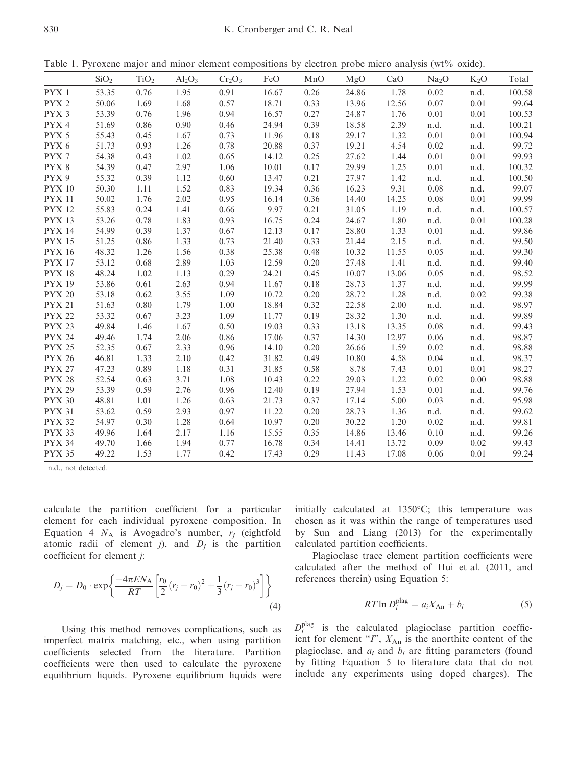Table 1. Pyroxene major and minor element compositions by electron probe micro analysis (wt% oxide).

|                  | SiO <sub>2</sub> | TiO <sub>2</sub> | $Al_2O_3$ | $Cr_2O_3$ | FeO   | MnO      | MgO   | CaO   | Na <sub>2</sub> O | $K_2O$ | Total  |
|------------------|------------------|------------------|-----------|-----------|-------|----------|-------|-------|-------------------|--------|--------|
| PYX 1            | 53.35            | 0.76             | 1.95      | 0.91      | 16.67 | 0.26     | 24.86 | 1.78  | 0.02              | n.d.   | 100.58 |
| PYX <sub>2</sub> | 50.06            | 1.69             | 1.68      | 0.57      | 18.71 | 0.33     | 13.96 | 12.56 | 0.07              | 0.01   | 99.64  |
| PYX 3            | 53.39            | 0.76             | 1.96      | 0.94      | 16.57 | 0.27     | 24.87 | 1.76  | 0.01              | 0.01   | 100.53 |
| PYX 4            | 51.69            | 0.86             | 0.90      | 0.46      | 24.94 | 0.39     | 18.58 | 2.39  | n.d.              | n.d.   | 100.21 |
| PYX 5            | 55.43            | 0.45             | 1.67      | 0.73      | 11.96 | $0.18\,$ | 29.17 | 1.32  | 0.01              | 0.01   | 100.94 |
| PYX 6            | 51.73            | 0.93             | 1.26      | 0.78      | 20.88 | 0.37     | 19.21 | 4.54  | 0.02              | n.d.   | 99.72  |
| PYX 7            | 54.38            | 0.43             | 1.02      | 0.65      | 14.12 | 0.25     | 27.62 | 1.44  | 0.01              | 0.01   | 99.93  |
| PYX 8            | 54.39            | 0.47             | 2.97      | 1.06      | 10.01 | 0.17     | 29.99 | 1.25  | 0.01              | n.d.   | 100.32 |
| PYX 9            | 55.32            | 0.39             | 1.12      | 0.60      | 13.47 | 0.21     | 27.97 | 1.42  | n.d.              | n.d.   | 100.50 |
| <b>PYX 10</b>    | 50.30            | 1.11             | 1.52      | 0.83      | 19.34 | 0.36     | 16.23 | 9.31  | 0.08              | n.d.   | 99.07  |
| <b>PYX 11</b>    | 50.02            | 1.76             | 2.02      | 0.95      | 16.14 | 0.36     | 14.40 | 14.25 | 0.08              | 0.01   | 99.99  |
| <b>PYX 12</b>    | 55.83            | 0.24             | 1.41      | 0.66      | 9.97  | 0.21     | 31.05 | 1.19  | n.d.              | n.d.   | 100.57 |
| <b>PYX 13</b>    | 53.26            | 0.78             | 1.83      | 0.93      | 16.75 | 0.24     | 24.67 | 1.80  | n.d.              | 0.01   | 100.28 |
| <b>PYX 14</b>    | 54.99            | 0.39             | 1.37      | 0.67      | 12.13 | 0.17     | 28.80 | 1.33  | 0.01              | n.d.   | 99.86  |
| <b>PYX 15</b>    | 51.25            | 0.86             | 1.33      | 0.73      | 21.40 | 0.33     | 21.44 | 2.15  | n.d.              | n.d.   | 99.50  |
| <b>PYX 16</b>    | 48.32            | 1.26             | 1.56      | 0.38      | 25.38 | 0.48     | 10.32 | 11.55 | 0.05              | n.d.   | 99.30  |
| <b>PYX 17</b>    | 53.12            | 0.68             | 2.89      | 1.03      | 12.59 | 0.20     | 27.48 | 1.41  | n.d.              | n.d.   | 99.40  |
| <b>PYX 18</b>    | 48.24            | 1.02             | 1.13      | 0.29      | 24.21 | 0.45     | 10.07 | 13.06 | 0.05              | n.d.   | 98.52  |
| <b>PYX 19</b>    | 53.86            | 0.61             | 2.63      | 0.94      | 11.67 | 0.18     | 28.73 | 1.37  | n.d.              | n.d.   | 99.99  |
| <b>PYX 20</b>    | 53.18            | 0.62             | 3.55      | 1.09      | 10.72 | 0.20     | 28.72 | 1.28  | n.d.              | 0.02   | 99.38  |
| <b>PYX 21</b>    | 51.63            | 0.80             | 1.79      | 1.00      | 18.84 | 0.32     | 22.58 | 2.00  | n.d.              | n.d.   | 98.97  |
| <b>PYX 22</b>    | 53.32            | 0.67             | 3.23      | 1.09      | 11.77 | 0.19     | 28.32 | 1.30  | n.d.              | n.d.   | 99.89  |
| <b>PYX 23</b>    | 49.84            | 1.46             | 1.67      | 0.50      | 19.03 | 0.33     | 13.18 | 13.35 | 0.08              | n.d.   | 99.43  |
| <b>PYX 24</b>    | 49.46            | 1.74             | 2.06      | 0.86      | 17.06 | 0.37     | 14.30 | 12.97 | 0.06              | n.d.   | 98.87  |
| <b>PYX 25</b>    | 52.35            | 0.67             | 2.33      | 0.96      | 14.10 | 0.20     | 26.66 | 1.59  | 0.02              | n.d.   | 98.88  |
| <b>PYX 26</b>    | 46.81            | 1.33             | 2.10      | 0.42      | 31.82 | 0.49     | 10.80 | 4.58  | 0.04              | n.d.   | 98.37  |
| <b>PYX 27</b>    | 47.23            | 0.89             | 1.18      | 0.31      | 31.85 | 0.58     | 8.78  | 7.43  | 0.01              | 0.01   | 98.27  |
| <b>PYX 28</b>    | 52.54            | 0.63             | 3.71      | 1.08      | 10.43 | 0.22     | 29.03 | 1.22  | 0.02              | 0.00   | 98.88  |
| <b>PYX 29</b>    | 53.39            | 0.59             | 2.76      | 0.96      | 12.40 | 0.19     | 27.94 | 1.53  | 0.01              | n.d.   | 99.76  |
| <b>PYX 30</b>    | 48.81            | 1.01             | 1.26      | 0.63      | 21.73 | 0.37     | 17.14 | 5.00  | 0.03              | n.d.   | 95.98  |
| <b>PYX 31</b>    | 53.62            | 0.59             | 2.93      | 0.97      | 11.22 | 0.20     | 28.73 | 1.36  | n.d.              | n.d.   | 99.62  |
| <b>PYX 32</b>    | 54.97            | 0.30             | 1.28      | 0.64      | 10.97 | 0.20     | 30.22 | 1.20  | 0.02              | n.d.   | 99.81  |
| <b>PYX 33</b>    | 49.96            | 1.64             | 2.17      | 1.16      | 15.55 | 0.35     | 14.86 | 13.46 | 0.10              | n.d.   | 99.26  |
| <b>PYX 34</b>    | 49.70            | 1.66             | 1.94      | 0.77      | 16.78 | 0.34     | 14.41 | 13.72 | 0.09              | 0.02   | 99.43  |
| <b>PYX 35</b>    | 49.22            | 1.53             | 1.77      | 0.42      | 17.43 | 0.29     | 11.43 | 17.08 | 0.06              | 0.01   | 99.24  |

n.d., not detected.

calculate the partition coefficient for a particular element for each individual pyroxene composition. In Equation 4  $N_A$  is Avogadro's number,  $r_i$  (eightfold atomic radii of element j), and  $D_i$  is the partition coefficient for element j:

$$
D_{j} = D_{0} \cdot \exp\left\{ \frac{-4\pi EN_{A}}{RT} \left[ \frac{r_{0}}{2} (r_{j} - r_{0})^{2} + \frac{1}{3} (r_{j} - r_{0})^{3} \right] \right\}
$$
(4)

Using this method removes complications, such as imperfect matrix matching, etc., when using partition coefficients selected from the literature. Partition coefficients were then used to calculate the pyroxene equilibrium liquids. Pyroxene equilibrium liquids were initially calculated at 1350°C; this temperature was chosen as it was within the range of temperatures used by Sun and Liang (2013) for the experimentally calculated partition coefficients.

Plagioclase trace element partition coefficients were calculated after the method of Hui et al. (2011, and references therein) using Equation 5:

$$
RT \ln D_i^{\text{plag}} = a_i X_{\text{An}} + b_i \tag{5}
$$

 $D_i^{\text{plag}}$  is the calculated plagioclase partition coefficient for element " $\Gamma$ ",  $X_{An}$  is the anorthite content of the plagioclase, and  $a_i$  and  $b_i$  are fitting parameters (found by fitting Equation 5 to literature data that do not include any experiments using doped charges). The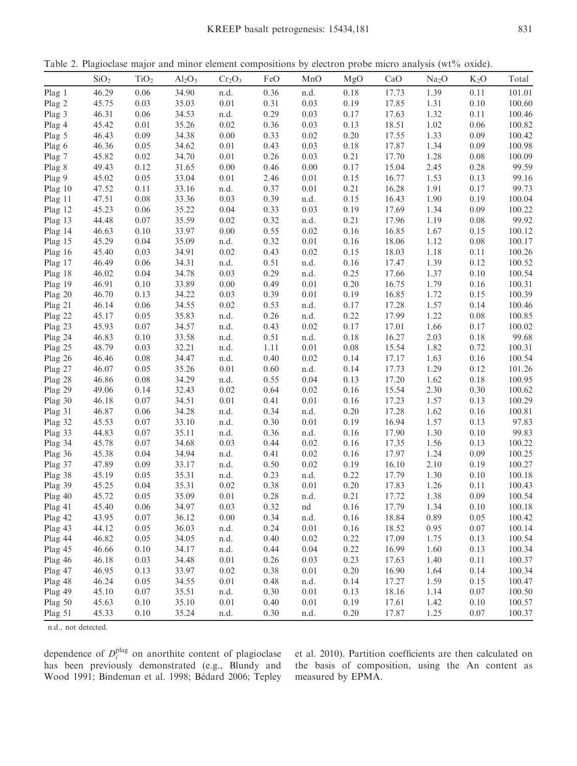Table 2. Plagioclase major and minor element compositions by electron probe micro analysis (wt% oxide).

|                    | SiO <sub>2</sub> | TiO <sub>2</sub> | $Al_2O_3$      | Cr <sub>2</sub> O <sub>3</sub> | FeO          | MnO      | MgO              | CaO            | Na <sub>2</sub> O | $K_2O$   | Total            |
|--------------------|------------------|------------------|----------------|--------------------------------|--------------|----------|------------------|----------------|-------------------|----------|------------------|
| Plag 1             | 46.29            | 0.06             | 34.90          | n.d.                           | 0.36         | n.d.     | 0.18             | 17.73          | 1.39              | 0.11     | 101.01           |
| Plag 2             | 45.75            | 0.03             | 35.03          | $0.01\,$                       | 0.31         | 0.03     | 0.19             | 17.85          | 1.31              | 0.10     | 100.60           |
| Plag 3             | 46.31            | 0.06             | 34.53          | n.d.                           | 0.29         | 0.03     | 0.17             | 17.63          | 1.32              | 0.11     | 100.46           |
| Plag 4             | 45.42            | 0.01             | 35.26          | 0.02                           | 0.36         | 0.03     | 0.13             | 18.51          | 1.02              | 0.06     | 100.82           |
| Plag 5             | 46.43            | 0.09             | 34.38          | 0.00                           | 0.33         | 0.02     | 0.20             | 17.55          | 1.33              | 0.09     | 100.42           |
| Plag 6             | 46.36            | 0.05             | 34.62          | $0.01\,$                       | 0.43         | 0.03     | 0.18             | 17.87          | 1.34              | 0.09     | 100.98           |
| Plag 7             | 45.82            | 0.02             | 34.70          | $0.01\,$                       | 0.26         | 0.03     | 0.21             | 17.70          | 1.28              | $0.08\,$ | 100.09           |
| Plag 8             | 49.43            | 0.12             | 31.65          | 0.00                           | 0.46         | 0.00     | 0.17             | 15.04          | 2.45              | 0.28     | 99.59            |
| Plag 9             | 45.02            | 0.05             | 33.04          | $0.01\,$                       | 2.46         | 0.01     | 0.15             | 16.77          | 1.53              | 0.13     | 99.16            |
| Plag 10            | 47.52            | 0.11             | 33.16          | n.d.                           | 0.37         | 0.01     | 0.21             | 16.28          | 1.91              | 0.17     | 99.73            |
| Plag 11            | 47.51            | $0.08\,$         | 33.36          | 0.03                           | 0.39         | n.d.     | 0.15             | 16.43          | 1.90              | 0.19     | 100.04           |
| Plag 12            | 45.23            | 0.06             | 35.22          | 0.04                           | 0.33         | 0.03     | 0.19             | 17.69          | 1.34              | 0.09     | 100.22           |
| Plag 13            | 44.48            | 0.07             | 35.59          | 0.02                           | 0.32         | n.d.     | 0.21             | 17.96          | 1.19              | 0.08     | 99.92            |
| Plag 14            | 46.63            | 0.10             | 33.97          | 0.00                           | 0.55         | 0.02     | 0.16             | 16.85          | 1.67              | 0.15     | 100.12           |
| Plag 15            | 45.29            | 0.04             | 35.09          | n.d.                           | 0.32         | 0.01     | 0.16             | 18.06          | 1.12              | 0.08     | 100.17           |
| Plag 16            | 45.40            | 0.03             | 34.91          | 0.02                           | 0.43         | 0.02     | 0.15             | 18.03          | 1.18              | 0.11     | 100.26           |
| Plag 17            | 46.49            | 0.06             | 34.31          | n.d.                           | 0.51         | n.d.     | 0.16             | 17.47          | 1.39              | 0.12     | 100.52           |
| Plag 18            | 46.02            | 0.04             | 34.78          | 0.03                           | 0.29         | n.d.     | 0.25             | 17.66          | 1.37              | 0.10     | 100.54           |
| Plag 19            | 46.91            | 0.10             | 33.89          | 0.00                           | 0.49         | 0.01     | 0.20             | 16.75          | 1.79              | 0.16     | 100.31           |
| Plag 20            | 46.70            | 0.13             | 34.22          | 0.03                           | 0.39         | 0.01     | 0.19             | 16.85          | 1.72              | 0.15     | 100.39           |
| Plag 21            | 46.14            | 0.06             | 34.55          | 0.02                           | 0.53         | n.d.     | 0.17             | 17.28          | 1.57              | 0.14     | 100.46           |
| Plag 22            | 45.17            | 0.05             | 35.83          | n.d.                           | 0.26         | n.d.     | 0.22             | 17.99          | 1.22              | 0.08     | 100.85           |
| Plag 23            | 45.93            | $0.07\,$         | 34.57          | n.d.                           | 0.43         | 0.02     | 0.17             | 17.01          | 1.66              | 0.17     | 100.02           |
| Plag 24            | 46.83            | 0.10             | 33.58          | n.d.                           | 0.51         | n.d.     | 0.18             | 16.27          | 2.03              | 0.18     | 99.68            |
| Plag 25            | 48.79            | 0.03             | 32.21          | n.d.                           | 1.11         | 0.01     | 0.08             | 15.54          | 1.82              | 0.72     | 100.31           |
| Plag 26            | 46.46            | 0.08             | 34.47          | n.d.                           | 0.40         | 0.02     | 0.14             | 17.17          | 1.63              | 0.16     | 100.54           |
| Plag 27            | 46.07            | 0.05             | 35.26          | 0.01                           | 0.60         | n.d.     | 0.14             | 17.73          | 1.29              | 0.12     | 101.26           |
| Plag 28            | 46.86            | 0.08             | 34.29          | n.d.                           | 0.55         | 0.04     | 0.13             | 17.20          | 1.62              | 0.18     | 100.95           |
| Plag 29            | 49.06            | 0.14             | 32.43          | 0.02                           | 0.64         | 0.02     | 0.16             | 15.54          | 2.30              | 0.30     | 100.62           |
| Plag 30            | 46.18            | 0.07             | 34.51          | $0.01\,$                       | 0.41         | 0.01     | 0.16             | 17.23          | 1.57              | 0.13     | 100.29           |
| Plag 31            | 46.87            | 0.06             | 34.28          | n.d.                           | 0.34         | n.d.     | 0.20             | 17.28          | 1.62              | 0.16     | 100.81           |
| Plag 32            | 45.53            | 0.07             | 33.10          | n.d.                           | 0.30         | 0.01     | 0.19             | 16.94          | 1.57              | 0.13     | 97.83            |
| Plag 33            | 44.83            | 0.07             | 35.11          | n.d.                           | 0.36         | n.d.     | 0.16             | 17.90          | 1.30              | 0.10     | 99.83            |
| Plag 34            | 45.78            | $0.07\,$         | 34.68          | 0.03                           | 0.44         | 0.02     | 0.16             | 17.35          | 1.56              | 0.13     | 100.22           |
| Plag 36            | 45.38            | 0.04             | 34.94          | n.d.                           | 0.41         | 0.02     | 0.16             | 17.97          | 1.24              | 0.09     | 100.25           |
| Plag 37            | 47.89            | 0.09             | 33.17          | n.d.                           | 0.50         | 0.02     | 0.19             | 16.10          | 2.10              | 0.19     | 100.27           |
| Plag 38            | 45.19            | 0.05             | 35.31          | n.d.                           | 0.23         | n.d.     | 0.22             | 17.79          | 1.30              | 0.10     | 100.18           |
| Plag 39            | 45.25            | 0.04             | 35.31          | 0.02                           | 0.38         | 0.01     | 0.20             | 17.83          | 1.26              | 0.11     | 100.43           |
| Plag 40            | 45.72            | 0.05             | 35.09          | 0.01                           | 0.28         | n.d.     | 0.21             | 17.72          | 1.38              | 0.09     | 100.54           |
| Plag 41            | 45.40            | $0.06\,$         | 34.97          | 0.03                           | 0.32         | nd       | $0.16\,$         | 17.79          | 1.34              | $0.10\,$ | 100.18           |
| Plag 42            | 43.95            | $0.07\,$         | 36.12          | $0.00\,$                       | 0.34         | n.d.     | 0.16             | 18.84          | 0.89              | 0.05     | 100.42           |
|                    | 44.12            | 0.05             | 36.03          | n.d.                           | 0.24         | 0.01     | 0.16             | 18.52          | 0.95              | $0.07\,$ | 100.14           |
| Plag 43<br>Plag 44 | 46.82            | 0.05             | 34.05          | n.d.                           | 0.40         | 0.02     | 0.22             | 17.09          |                   | 0.13     | 100.54           |
|                    |                  |                  | 34.17          | n.d.                           |              | 0.04     | 0.22             | 16.99          | 1.75              | 0.13     | 100.34           |
| Plag 45            | 46.66            | 0.10             |                | $0.01\,$                       | 0.44<br>0.26 | 0.03     |                  | 17.63          | 1.60<br>1.40      | 0.11     |                  |
| Plag 46            | 46.18<br>46.95   | 0.03<br>0.13     | 34.48<br>33.97 | $0.02\,$                       | 0.38         | $0.01\,$ | 0.23<br>$0.20\,$ | 16.90          | 1.64              | 0.14     | 100.37<br>100.34 |
| Plag 47            |                  |                  |                |                                |              |          |                  |                |                   |          |                  |
| Plag 48            | 46.24            | 0.05             | 34.55          | $0.01\,$                       | 0.48         | n.d.     | 0.14             | 17.27<br>18.16 | 1.59              | 0.15     | 100.47           |
| Plag 49            | 45.10            | $0.07\,$         | 35.51          | n.d.                           | 0.30         | 0.01     | 0.13             |                | 1.14              | $0.07\,$ | 100.50           |
| Plag 50            | 45.63            | 0.10             | 35.10          | $0.01\,$                       | 0.40         | 0.01     | 0.19             | 17.61          | 1.42              | 0.10     | 100.57           |
| Plag 51            | 45.33            | 0.10             | 35.24          | n.d.                           | 0.30         | n.d.     | 0.20             | 17.87          | 1.25              | 0.07     | 100.37           |

n.d., not detected.

dependence of  $D_i^{\text{plag}}$  on anorthite content of plagioclase has been previously demonstrated (e.g., Blundy and Wood 1991; Bindeman et al. 1998; Bédard 2006; Tepley et al. 2010). Partition coefficients are then calculated on the basis of composition, using the An content as measured by EPMA.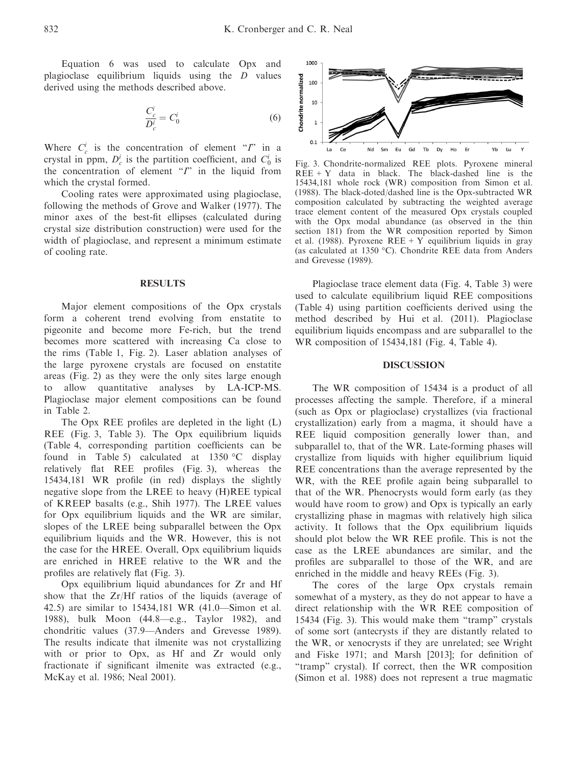Equation 6 was used to calculate Opx and plagioclase equilibrium liquids using the D values derived using the methods described above.

$$
\frac{C_c^i}{D_c^i} = C_0^i \tag{6}
$$

Where  $C_c^i$  is the concentration of element "*I*" in a crystal in ppm,  $D_c^i$  is the partition coefficient, and  $C_0^i$  is the concentration of element  $T$  in the liquid from which the crystal formed.

Cooling rates were approximated using plagioclase, following the methods of Grove and Walker (1977). The minor axes of the best-fit ellipses (calculated during crystal size distribution construction) were used for the width of plagioclase, and represent a minimum estimate of cooling rate.

Major element compositions of the Opx crystals form a coherent trend evolving from enstatite to pigeonite and become more Fe-rich, but the trend becomes more scattered with increasing Ca close to the rims (Table 1, Fig. 2). Laser ablation analyses of the large pyroxene crystals are focused on enstatite areas (Fig. 2) as they were the only sites large enough to allow quantitative analyses by LA-ICP-MS. Plagioclase major element compositions can be found in Table 2.

The Opx REE profiles are depleted in the light (L) REE (Fig. 3, Table 3). The Opx equilibrium liquids (Table 4, corresponding partition coefficients can be found in Table 5) calculated at 1350 °C display relatively flat REE profiles (Fig. 3), whereas the 15434,181 WR profile (in red) displays the slightly negative slope from the LREE to heavy (H)REE typical of KREEP basalts (e.g., Shih 1977). The LREE values for Opx equilibrium liquids and the WR are similar, slopes of the LREE being subparallel between the Opx equilibrium liquids and the WR. However, this is not the case for the HREE. Overall, Opx equilibrium liquids are enriched in HREE relative to the WR and the profiles are relatively flat (Fig. 3).

Opx equilibrium liquid abundances for Zr and Hf show that the Zr/Hf ratios of the liquids (average of 42.5) are similar to 15434,181 WR (41.0—Simon et al. 1988), bulk Moon (44.8—e.g., Taylor 1982), and chondritic values (37.9—Anders and Grevesse 1989). The results indicate that ilmenite was not crystallizing with or prior to Opx, as Hf and Zr would only fractionate if significant ilmenite was extracted (e.g., McKay et al. 1986; Neal 2001).



Fig. 3. Chondrite-normalized REE plots. Pyroxene mineral  $REE + Y$  data in black. The black-dashed line is the 15434,181 whole rock (WR) composition from Simon et al. (1988). The black-doted/dashed line is the Opx-subtracted WR composition calculated by subtracting the weighted average trace element content of the measured Opx crystals coupled with the Opx modal abundance (as observed in the thin section 181) from the WR composition reported by Simon et al. (1988). Pyroxene  $REE + Y$  equilibrium liquids in gray (as calculated at 1350 °C). Chondrite REE data from Anders and Grevesse (1989).

Plagioclase trace element data (Fig. 4, Table 3) were used to calculate equilibrium liquid REE compositions (Table 4) using partition coefficients derived using the method described by Hui et al. (2011). Plagioclase equilibrium liquids encompass and are subparallel to the WR composition of 15434,181 (Fig. 4, Table 4).

### DISCUSSION

The WR composition of 15434 is a product of all processes affecting the sample. Therefore, if a mineral (such as Opx or plagioclase) crystallizes (via fractional crystallization) early from a magma, it should have a REE liquid composition generally lower than, and subparallel to, that of the WR. Late-forming phases will crystallize from liquids with higher equilibrium liquid REE concentrations than the average represented by the WR, with the REE profile again being subparallel to that of the WR. Phenocrysts would form early (as they would have room to grow) and Opx is typically an early crystallizing phase in magmas with relatively high silica activity. It follows that the Opx equilibrium liquids should plot below the WR REE profile. This is not the case as the LREE abundances are similar, and the profiles are subparallel to those of the WR, and are enriched in the middle and heavy REEs (Fig. 3).

The cores of the large Opx crystals remain somewhat of a mystery, as they do not appear to have a direct relationship with the WR REE composition of 15434 (Fig. 3). This would make them "tramp" crystals of some sort (antecrysts if they are distantly related to the WR, or xenocrysts if they are unrelated; see Wright and Fiske 1971; and Marsh [2013]; for definition of "tramp" crystal). If correct, then the WR composition (Simon et al. 1988) does not represent a true magmatic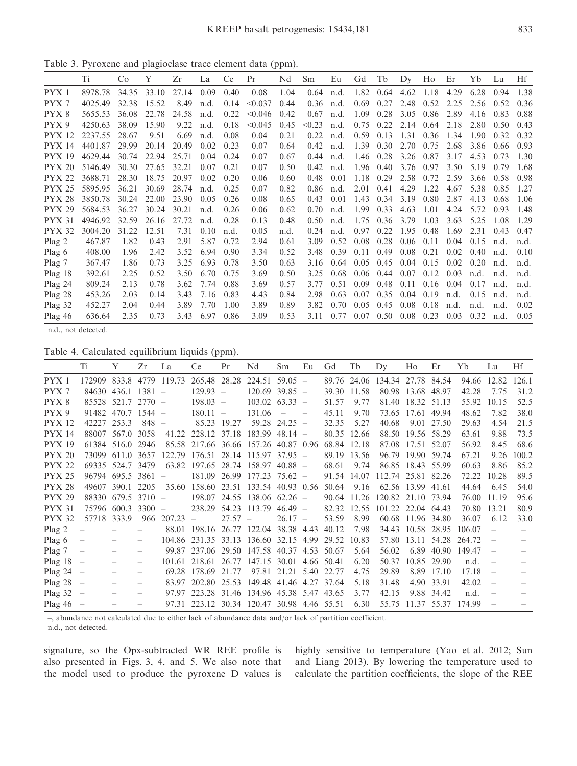Table 3. Pyroxene and plagioclase trace element data (ppm).

|                   | Ti      | C <sub>o</sub> | Y     | Zr    | La   | <b>Ce</b> | Pr      | Nd   | Sm     | Eu   | Gd   | Tb   | Dy   | Ho        | Er   | Yb   | Lu   | Hf   |
|-------------------|---------|----------------|-------|-------|------|-----------|---------|------|--------|------|------|------|------|-----------|------|------|------|------|
| PYX1              | 8978.78 | 34.35          | 33.10 | 27.14 | 0.09 | 0.40      | 0.08    | 1.04 | 0.64   | n.d. | 1.82 | 0.64 | 4.62 | 1.18      | 4.29 | 6.28 | 0.94 | 1.38 |
| PYX 7             | 4025.49 | 32.38          | 15.52 | 8.49  | n.d. | 0.14      | < 0.037 | 0.44 | 0.36   | n.d. | 0.69 | 0.27 | 2.48 | 0.52      | 2.25 | 2.56 | 0.52 | 0.36 |
| PYX <sup>8</sup>  | 5655.53 | 36.08          | 22.78 | 24.58 | n.d. | 0.22      | < 0.046 | 0.42 | 0.67   | n.d. | 1.09 | 0.28 | 3.05 | 0.86      | 2.89 | 4.16 | 0.83 | 0.88 |
| PYX 9             | 4250.63 | 38.09          | 15.90 | 9.22  | n.d. | 0.18      | < 0.045 | 0.45 | < 0.23 | n.d. | 0.75 | 0.22 | 2.14 | 0.64      | 2.18 | 2.80 | 0.50 | 0.43 |
| <b>PYX 12</b>     | 2237.55 | 28.67          | 9.51  | 6.69  | n.d. | 0.08      | 0.04    | 0.21 | 0.22   | n.d. | 0.59 | 0.13 | 1.31 | 0.36      | 1.34 | 1.90 | 0.32 | 0.32 |
| <b>PYX 14</b>     | 4401.87 | 29.99          | 20.14 | 20.49 | 0.02 | 0.23      | 0.07    | 0.64 | 0.42   | n.d. | 1.39 | 0.30 | 2.70 | 0.75      | 2.68 | 3.86 | 0.66 | 0.93 |
| <b>PYX 19</b>     | 4629.44 | 30.74          | 22.94 | 25.71 | 0.04 | 0.24      | 0.07    | 0.67 | 0.44   | n.d. | 1.46 | 0.28 |      | 3.26 0.87 | 3.17 | 4.53 | 0.73 | 1.30 |
| <b>PYX 20</b>     | 5146.49 | 30.30          | 27.65 | 32.21 | 0.07 | 0.21      | 0.07    | 0.50 | 0.42   | n.d. | 1.96 | 0.40 | 3.76 | 0.97      | 3.50 | 5.19 | 0.79 | 1.68 |
| <b>PYX 22</b>     | 3688.71 | 28.30          | 18.75 | 20.97 | 0.02 | 0.20      | 0.06    | 0.60 | 0.48   | 0.01 | 1.18 | 0.29 | 2.58 | 0.72      | 2.59 | 3.66 | 0.58 | 0.98 |
| <b>PYX 25</b>     | 5895.95 | 36.21          | 30.69 | 28.74 | n.d. | 0.25      | 0.07    | 0.82 | 0.86   | n.d. | 2.01 | 0.41 | 4.29 | 1.22      | 4.67 | 5.38 | 0.85 | 1.27 |
| <b>PYX 28</b>     | 3850.78 | 30.24          | 22.00 | 23.90 | 0.05 | 0.26      | 0.08    | 0.65 | 0.43   | 0.01 | 1.43 | 0.34 | 3.19 | 0.80      | 2.87 | 4.13 | 0.68 | 1.06 |
| <b>PYX 29</b>     | 5684.53 | 36.27          | 30.24 | 30.21 | n.d. | 0.26      | 0.06    | 0.62 | 0.70   | n.d. | 1.99 | 0.33 | 4.63 | 1.01      | 4.24 | 5.72 | 0.93 | 1.48 |
| <b>PYX 31</b>     | 4946.92 | 32.59          | 26.16 | 27.72 | n.d. | 0.28      | 0.13    | 0.48 | 0.50   | n.d. | 1.75 | 0.36 | 3.79 | 1.03      | 3.63 | 5.25 | 1.08 | 1.29 |
| <b>PYX 32</b>     | 3004.20 | 31.22          | 12.51 | 7.31  | 0.10 | n.d.      | 0.05    | n.d. | 0.24   | n.d. | 0.97 | 0.22 | 1.95 | 0.48      | 1.69 | 2.31 | 0.43 | 0.47 |
| Plag <sub>2</sub> | 467.87  | 1.82           | 0.43  | 2.91  | 5.87 | 0.72      | 2.94    | 0.61 | 3.09   | 0.52 | 0.08 | 0.28 | 0.06 | 0.11      | 0.04 | 0.15 | n.d. | n.d. |
| Plag 6            | 408.00  | 1.96           | 2.42  | 3.52  | 6.94 | 0.90      | 3.34    | 0.52 | 3.48   | 0.39 | 0.11 | 0.49 | 0.08 | 0.21      | 0.02 | 0.40 | n.d. | 0.10 |
| Plag 7            | 367.47  | 1.86           | 0.73  | 3.25  | 6.93 | 0.78      | 3.50    | 0.63 | 3.16   | 0.64 | 0.05 | 0.45 | 0.04 | 0.15      | 0.02 | 0.20 | n.d. | n.d. |
| $Plag$ 18         | 392.61  | 2.25           | 0.52  | 3.50  | 6.70 | 0.75      | 3.69    | 0.50 | 3.25   | 0.68 | 0.06 | 0.44 | 0.07 | 0.12      | 0.03 | n.d. | n.d. | n.d. |
| $Plag$ 24         | 809.24  | 2.13           | 0.78  | 3.62  | 7.74 | 0.88      | 3.69    | 0.57 | 3.77   | 0.51 | 0.09 | 0.48 | 0.11 | 0.16      | 0.04 | 0.17 | n.d. | n.d. |
| Plag 28           | 453.26  | 2.03           | 0.14  | 3.43  | 7.16 | 0.83      | 4.43    | 0.84 | 2.98   | 0.63 | 0.07 | 0.35 | 0.04 | 0.19      | n.d. | 0.15 | n.d. | n.d. |
| Plag 32           | 452.27  | 2.04           | 0.44  | 3.89  | 7.70 | 1.00      | 3.89    | 0.89 | 3.82   | 0.70 | 0.05 | 0.45 | 0.08 | 0.18      | n.d. | n.d. | n.d. | 0.02 |
| Plag $46$         | 636.64  | 2.35           | 0.73  | 3.43  | 6.97 | 0.86      | 3.09    | 0.53 | 3.11   | 0.77 | 0.07 | 0.50 | 0.08 | 0.23      | 0.03 | 0.32 | n.d. | 0.05 |

n.d., not detected.

Table 4. Calculated equilibrium liquids (ppm).

|                   | Ti                       | Y                | Zr       | La                              | Ce                            | Pr          | Nd                                   | Sm              | Eu   | Gd         | Tb          | Dy                 | Ho                | Er          | Yb     | Lu    | Hf    |
|-------------------|--------------------------|------------------|----------|---------------------------------|-------------------------------|-------------|--------------------------------------|-----------------|------|------------|-------------|--------------------|-------------------|-------------|--------|-------|-------|
| PYX1              | 172909                   | 833.8            |          | 4779 119.73                     | 265.48 28.28                  |             | 224.51                               | $59.05 -$       |      |            | 89.76 24.06 | 134.34 27.78 84.54 |                   |             | 94.66  | 12.82 | 126.1 |
| PYX 7             | 84630                    | $436.1$ $1381 -$ |          |                                 | $129.93 -$                    |             | 120.69                               | $39.85 -$       |      | 39.30      | 11.58       |                    | 80.98 13.68 48.97 |             | 42.28  | 7.75  | 31.2  |
| PYX8              | 85528                    | 521.7            | $2770 -$ |                                 | $198.03 -$                    |             | 103.02                               | $63.33 -$       |      | 51.57      | 9.77        |                    | 81.40 18.32 51.13 |             | 55.92  | 10.15 | 52.5  |
| PYX 9             | 91482                    | $470.7$ 1544 -   |          |                                 | $180.11 -$                    |             | 131.06                               |                 |      | 45.11      | 9.70        | 73.65              | 17.61             | 49.94       | 48.62  | 7.82  | 38.0  |
| <b>PYX 12</b>     | 42227                    | 253.3            | $848 -$  |                                 |                               | 85.23 19.27 |                                      | $59.28$ 24.25 - |      | 32.35      | 5.27        | 40.68              |                   | 9.01 27.50  | 29.63  | 4.54  | 21.5  |
| <b>PYX 14</b>     | 88007                    | 567.0            | 3058     | 41.22                           | 228.12 37.18                  |             | 183.99                               | $48.14 -$       |      | 80.35      | 12.66       | 88.50              | 19.56 58.29       |             | 63.61  | 9.88  | 73.5  |
| <b>PYX 19</b>     |                          | 61384 516.0      | 2946     |                                 | 85.58 217.66 36.66            |             | 157.26 40.87 0.96                    |                 |      | 68.84      | 12.18       |                    | 87.08 17.51 52.07 |             | 56.92  | 8.45  | 68.6  |
| <b>PYX 20</b>     | 73099                    | 611.0            | 3657     | 122.79                          | $176.51$ 28.14 115.97 37.95 - |             |                                      |                 |      | 89.19      | 13.56       | 96.79              | 19.90 59.74       |             | 67.21  | 9.26  | 100.2 |
| <b>PYX 22</b>     |                          | 69335 524.7 3479 |          | 63.82                           | $197.65$ 28.74 158.97 40.88 - |             |                                      |                 |      | 68.61      | 9.74        |                    | 86.85 18.43 55.99 |             | 60.63  | 8.86  | 85.2  |
| <b>PYX 25</b>     | 96794                    | 695.5            | 3861     | $\hspace{0.1mm}-\hspace{0.1mm}$ | 181.09 26.99                  |             | 177.23                               | $75.62 -$       |      | 91.54      | 14.07       | 112.74 25.81 82.26 |                   |             | 72.22  | 10.28 | 89.5  |
| <b>PYX 28</b>     | 49607                    | 390.1            | 2205     | 35.60                           | 158.60 23.51                  |             | 133.54 40.93 0.56                    |                 |      | 50.64      | 9.16        |                    | 62.56 13.99       | 41.61       | 44.64  | 6.45  | 54.0  |
| <b>PYX 29</b>     | 88330                    | 679.5            | $3710 -$ |                                 |                               |             | $198.07$ 24.55 138.06 62.26 -        |                 |      | 90.64      | 11.26       | 120.82 21.10 73.94 |                   |             | 76.00  | 11.19 | 95.6  |
| <b>PYX 31</b>     | 75796                    | 600.3            | $3300 -$ |                                 | 238.29                        |             | 54.23 113.79                         | $46.49 -$       |      | 82.32      | 12.55       | 101.22 22.04 64.43 |                   |             | 70.80  | 13.21 | 80.9  |
| <b>PYX 32</b>     | 57718                    | 333.9            |          | 966 207.23                      | $\equiv$                      | $27.57 -$   |                                      | $26.17 -$       |      | 53.59      | 8.99        |                    | 60.68 11.96 34.80 |             | 36.07  | 6.12  | 33.0  |
| Plag <sub>2</sub> |                          |                  |          | 88.01                           | 198.16 26.77 122.04           |             |                                      | 38.38 4.43      |      | 40.12      | 7.98        |                    | 34.43 10.58 28.95 |             | 106.07 |       |       |
| Plag $6$          | $\overline{\phantom{0}}$ |                  |          | 104.86                          |                               |             | 231.35 33.13 136.60 32.15 4.99       |                 |      | 29.52      | 10.83       | 57.80              |                   | 13.11 54.28 | 264.72 |       |       |
| Plag 7            |                          |                  |          | 99.87                           |                               |             | 237.06 29.50 147.58 40.37            |                 | 4.53 | 50.67      | 5.64        | 56.02              | 6.89              | 40.90       | 149.47 |       |       |
| Plag 18           | $\overline{\phantom{0}}$ |                  |          | 101.61                          | 218.61 26.77                  |             | 147.15                               | 30.01           |      | 4.66 50.41 | 6.20        | 50.37              |                   | 10.85 29.90 | n.d.   |       |       |
| Plag 24           | $\overline{\phantom{0}}$ |                  |          | 69.28                           | 178.69 21.77                  |             |                                      | 97.81 21.21     | 5.40 | 22.77      | 4.75        | 29.89              | 8.89              | 17.10       | 17.18  |       |       |
| Plag 28           | $\overline{\phantom{0}}$ |                  |          | 83.97                           | 202.80 25.53                  |             | 149.48 41.46 4.27                    |                 |      | 37.64      | 5.18        | 31.48              | 4.90              | 33.91       | 42.02  |       |       |
| Plag 32           |                          |                  |          | 97.97                           |                               |             | 223.28 31.46 134.96 45.38 5.47 43.65 |                 |      |            | 3.77        | 42.15              |                   | 9.88 34.42  | n.d.   |       |       |
| Plag 46           |                          |                  |          | 97.31                           |                               |             | 223.12 30.34 120.47 30.98 4.46 55.51 |                 |      |            | 6.30        | 55.75              | 11.37 55.37       |             | 174.99 |       |       |

–, abundance not calculated due to either lack of abundance data and/or lack of partition coefficient. n.d., not detected.

signature, so the Opx-subtracted WR REE profile is also presented in Figs. 3, 4, and 5. We also note that the model used to produce the pyroxene D values is highly sensitive to temperature (Yao et al. 2012; Sun and Liang 2013). By lowering the temperature used to calculate the partition coefficients, the slope of the REE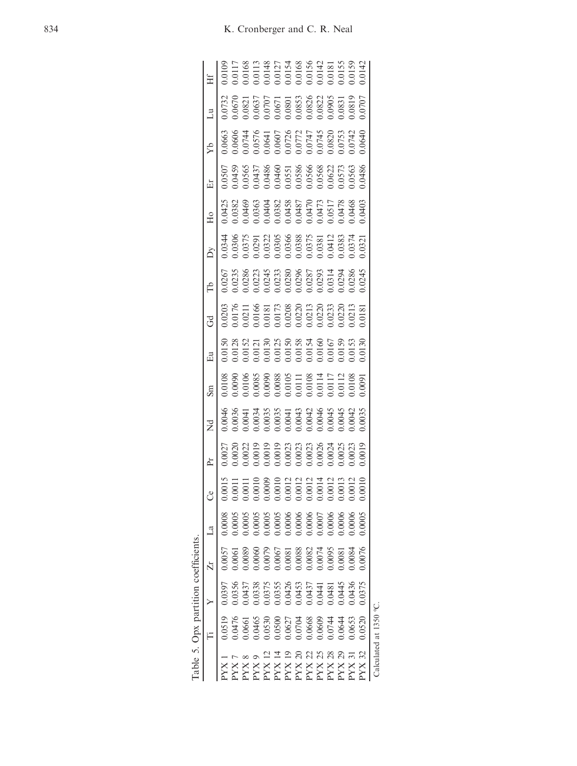|                                                                                                                                                                                                                                                                                                                                                                                                 |                                                                                                      |                                                                                                                | Table 5. Opx partition coefficients.                                                                                     |                                                                                                                                                                                                                                                                   |                                                                                                   |                                                                                            |                                                                                                                                                                                                                    |                                                                                                                                                                                                                                                                   |                                                                                                                                                                                                                                                                                             |                                                                                                                                                                                                                                                                                             |                                                                                                                                                                                                                                                                   |                                                                                                                                                                                                                                                                                             |                                                                                                                                                                                                |                                                                                        |                                                                                                                                                                                                                                                                      |                                                                                                                                                                                                                                                                                             |                                                                                                                                                                                                                                                                   |
|-------------------------------------------------------------------------------------------------------------------------------------------------------------------------------------------------------------------------------------------------------------------------------------------------------------------------------------------------------------------------------------------------|------------------------------------------------------------------------------------------------------|----------------------------------------------------------------------------------------------------------------|--------------------------------------------------------------------------------------------------------------------------|-------------------------------------------------------------------------------------------------------------------------------------------------------------------------------------------------------------------------------------------------------------------|---------------------------------------------------------------------------------------------------|--------------------------------------------------------------------------------------------|--------------------------------------------------------------------------------------------------------------------------------------------------------------------------------------------------------------------|-------------------------------------------------------------------------------------------------------------------------------------------------------------------------------------------------------------------------------------------------------------------|---------------------------------------------------------------------------------------------------------------------------------------------------------------------------------------------------------------------------------------------------------------------------------------------|---------------------------------------------------------------------------------------------------------------------------------------------------------------------------------------------------------------------------------------------------------------------------------------------|-------------------------------------------------------------------------------------------------------------------------------------------------------------------------------------------------------------------------------------------------------------------|---------------------------------------------------------------------------------------------------------------------------------------------------------------------------------------------------------------------------------------------------------------------------------------------|------------------------------------------------------------------------------------------------------------------------------------------------------------------------------------------------|----------------------------------------------------------------------------------------|----------------------------------------------------------------------------------------------------------------------------------------------------------------------------------------------------------------------------------------------------------------------|---------------------------------------------------------------------------------------------------------------------------------------------------------------------------------------------------------------------------------------------------------------------------------------------|-------------------------------------------------------------------------------------------------------------------------------------------------------------------------------------------------------------------------------------------------------------------|
|                                                                                                                                                                                                                                                                                                                                                                                                 |                                                                                                      |                                                                                                                |                                                                                                                          |                                                                                                                                                                                                                                                                   |                                                                                                   | Èr                                                                                         |                                                                                                                                                                                                                    |                                                                                                                                                                                                                                                                   |                                                                                                                                                                                                                                                                                             |                                                                                                                                                                                                                                                                                             |                                                                                                                                                                                                                                                                   |                                                                                                                                                                                                                                                                                             |                                                                                                                                                                                                | Éг                                                                                     | ÅЯ                                                                                                                                                                                                                                                                   | $\overline{z}$                                                                                                                                                                                                                                                                              |                                                                                                                                                                                                                                                                   |
| XX                                                                                                                                                                                                                                                                                                                                                                                              | 0.0519                                                                                               | 0.397                                                                                                          | 0.0057                                                                                                                   |                                                                                                                                                                                                                                                                   |                                                                                                   |                                                                                            | 0.0046                                                                                                                                                                                                             | 0.0108                                                                                                                                                                                                                                                            | 0.0150                                                                                                                                                                                                                                                                                      | 0.0203                                                                                                                                                                                                                                                                                      | 1.0267                                                                                                                                                                                                                                                            | 0344                                                                                                                                                                                                                                                                                        | 0.0425                                                                                                                                                                                         | 1.0507                                                                                 | 0.6663                                                                                                                                                                                                                                                               | 0.732                                                                                                                                                                                                                                                                                       |                                                                                                                                                                                                                                                                   |
| $\begin{array}{l} {\rm PXX\,7} \\ {\rm YXX\,8} \\ {\rm PXX\,9} \\ {\rm PXX\,11} \\ {\rm PXX\,12} \\ {\rm PXX\,20} \\ {\rm PXX\,20} \\ {\rm PXX\,21} \\ {\rm PXX\,22} \\ {\rm PXX\,23} \\ {\rm PXX\,24} \\ {\rm PXX\,25} \\ {\rm PXX\,27} \\ {\rm PXX\,28} \\ {\rm PXX\,29} \\ {\rm PXX\,29} \\ {\rm PXX\,20} \\ {\rm PXX\,21} \\ {\rm PXX\,22} \\ {\rm PXX\,24} \\ {\rm PXX\,25} \\ {\rm PXX\,$ | 0.0476                                                                                               | 0.0356                                                                                                         |                                                                                                                          | 0.0005                                                                                                                                                                                                                                                            |                                                                                                   | 0.0020                                                                                     |                                                                                                                                                                                                                    |                                                                                                                                                                                                                                                                   |                                                                                                                                                                                                                                                                                             |                                                                                                                                                                                                                                                                                             |                                                                                                                                                                                                                                                                   |                                                                                                                                                                                                                                                                                             |                                                                                                                                                                                                |                                                                                        |                                                                                                                                                                                                                                                                      | 0.0670                                                                                                                                                                                                                                                                                      |                                                                                                                                                                                                                                                                   |
|                                                                                                                                                                                                                                                                                                                                                                                                 |                                                                                                      |                                                                                                                |                                                                                                                          |                                                                                                                                                                                                                                                                   | 0.0011                                                                                            | 1.0022                                                                                     |                                                                                                                                                                                                                    |                                                                                                                                                                                                                                                                   |                                                                                                                                                                                                                                                                                             |                                                                                                                                                                                                                                                                                             |                                                                                                                                                                                                                                                                   |                                                                                                                                                                                                                                                                                             |                                                                                                                                                                                                |                                                                                        |                                                                                                                                                                                                                                                                      |                                                                                                                                                                                                                                                                                             |                                                                                                                                                                                                                                                                   |
|                                                                                                                                                                                                                                                                                                                                                                                                 | 0.0661<br>0.0465                                                                                     |                                                                                                                | 0.0089<br>0.0060                                                                                                         |                                                                                                                                                                                                                                                                   | 010                                                                                               | 0.0019                                                                                     |                                                                                                                                                                                                                    |                                                                                                                                                                                                                                                                   |                                                                                                                                                                                                                                                                                             |                                                                                                                                                                                                                                                                                             |                                                                                                                                                                                                                                                                   |                                                                                                                                                                                                                                                                                             |                                                                                                                                                                                                |                                                                                        |                                                                                                                                                                                                                                                                      |                                                                                                                                                                                                                                                                                             |                                                                                                                                                                                                                                                                   |
|                                                                                                                                                                                                                                                                                                                                                                                                 |                                                                                                      |                                                                                                                |                                                                                                                          |                                                                                                                                                                                                                                                                   |                                                                                                   | 0.0019                                                                                     |                                                                                                                                                                                                                    |                                                                                                                                                                                                                                                                   |                                                                                                                                                                                                                                                                                             |                                                                                                                                                                                                                                                                                             |                                                                                                                                                                                                                                                                   |                                                                                                                                                                                                                                                                                             |                                                                                                                                                                                                |                                                                                        |                                                                                                                                                                                                                                                                      |                                                                                                                                                                                                                                                                                             |                                                                                                                                                                                                                                                                   |
|                                                                                                                                                                                                                                                                                                                                                                                                 |                                                                                                      |                                                                                                                |                                                                                                                          |                                                                                                                                                                                                                                                                   |                                                                                                   | 0.0019                                                                                     |                                                                                                                                                                                                                    |                                                                                                                                                                                                                                                                   |                                                                                                                                                                                                                                                                                             |                                                                                                                                                                                                                                                                                             |                                                                                                                                                                                                                                                                   |                                                                                                                                                                                                                                                                                             |                                                                                                                                                                                                |                                                                                        |                                                                                                                                                                                                                                                                      |                                                                                                                                                                                                                                                                                             |                                                                                                                                                                                                                                                                   |
|                                                                                                                                                                                                                                                                                                                                                                                                 |                                                                                                      |                                                                                                                |                                                                                                                          |                                                                                                                                                                                                                                                                   |                                                                                                   |                                                                                            |                                                                                                                                                                                                                    |                                                                                                                                                                                                                                                                   |                                                                                                                                                                                                                                                                                             |                                                                                                                                                                                                                                                                                             |                                                                                                                                                                                                                                                                   |                                                                                                                                                                                                                                                                                             |                                                                                                                                                                                                |                                                                                        |                                                                                                                                                                                                                                                                      |                                                                                                                                                                                                                                                                                             |                                                                                                                                                                                                                                                                   |
|                                                                                                                                                                                                                                                                                                                                                                                                 |                                                                                                      |                                                                                                                |                                                                                                                          |                                                                                                                                                                                                                                                                   |                                                                                                   |                                                                                            |                                                                                                                                                                                                                    |                                                                                                                                                                                                                                                                   |                                                                                                                                                                                                                                                                                             |                                                                                                                                                                                                                                                                                             |                                                                                                                                                                                                                                                                   |                                                                                                                                                                                                                                                                                             |                                                                                                                                                                                                |                                                                                        |                                                                                                                                                                                                                                                                      |                                                                                                                                                                                                                                                                                             |                                                                                                                                                                                                                                                                   |
|                                                                                                                                                                                                                                                                                                                                                                                                 | $\begin{array}{l} 0.0530 \\ 0.0500 \\ 0.0507 \\ 0.0704 \\ 0.0708 \\ 0.0668 \\ 0.0609 \\ \end{array}$ | $\begin{array}{r} 0.0437 \\ 0.0338 \\ 0.0375 \\ 0.0355 \\ 0.0426 \\ 0.0437 \\ 0.0437 \\ 0.0437 \\ \end{array}$ | $\begin{array}{l} 0.0079 \\ 0.0067 \\ 0.0081 \\ 0.0088 \\ 0.0088 \\ 0.0082 \\ 0.0074 \\ 0.0095 \\ 0.0095 \\ \end{array}$ | $\begin{array}{l} 0.0005\\ 0.0005\\ 0.0005\\ 0.0005\\ 0.0006\\ 0.0006\\ 0.0006\\ 0.0007\\ 0.0006\\ 0.0006\\ 0.0006\\ 0.0006\\ 0.0006\\ 0.0006\\ 0.0006\\ 0.0006\\ 0.0006\\ 0.0006\\ 0.0006\\ 0.0006\\ 0.0006\\ 0.0006\\ 0.0006\\ 0.0006\\ 0.0006\\ 0.0006\\ 0.00$ | $\begin{array}{l} 0.0012 \\ 0.0012 \\ 0.0012 \\ 0.0014 \\ 0.0014 \\ 0.0013 \\ 0.0013 \end{array}$ | $\begin{array}{c} 0.0023 \\ 0.0023 \\ 0.0023 \\ 0.0026 \\ 0.0024 \\ 0.0024 \\ \end{array}$ | $\begin{array}{l} 0.0036 \\ 0.0041 \\ 0.0033 \\ 0.0033 \\ 0.0034 \\ 0.0034 \\ 0.0034 \\ 0.0035 \\ 0.0041 \\ 0.0044 \\ 0.0044 \\ 0.0044 \\ 0.0044 \\ 0.0044 \\ 0.0035 \\ 0.0004 \\ 0.0035 \\ 0.0035 \\ \end{array}$ | $\begin{array}{l} 0.0090\\ 0.0106\\ 0.0085\\ 0.0088\\ 0.0088\\ 0.0008\\ 0.0010\\ 0.0111\\ 0.0111\\ 0.0111\\ 0.0111\\ 0.0111\\ 0.0111\\ 0.0101\\ 0.0101\\ 0.0101\\ 0.0108\\ 0.0108\\ 0.0108\\ 0.0108\\ 0.0108\\ 0.0108\\ 0.0108\\ 0.0108\\ 0.0108\\ 0.0108\\ 0.01$ | $\begin{array}{r} 0.0128 \\ 0.0152 \\ 0.0111 \\ 0.0130 \\ 0.0130 \\ 0.0135 \\ 0.0135 \\ 0.0136 \\ 0.0138 \\ 0.0138 \\ 0.0139 \\ 0.0133 \\ 0.0133 \\ 0.0133 \\ 0.0139 \\ 0.0139 \\ 0.0139 \\ 0.0139 \\ 0.0139 \\ 0.0139 \\ 0.0139 \\ 0.0139 \\ 0.0139 \\ 0.0139 \\ 0.0139 \\ 0.0139 \\ 0.01$ | $\begin{array}{l} 0.0176 \\ 0.0211 \\ 0.0166 \\ 0.0181 \\ 0.0173 \\ 0.0173 \\ 0.0203 \\ 0.0213 \\ 0.0203 \\ 0.0203 \\ 0.0230 \\ 0.0213 \\ 0.0031 \\ 0.0013 \\ 0.0013 \\ 0.0001 \\ 0.0001 \\ 0.0001 \\ 0.0001 \\ 0.0001 \\ 0.0000 \\ 0.0000 \\ 0.0000 \\ 0.0000 \\ 0.0000 \\ 0.0000 \\ 0.00$ | $\begin{array}{r} 0.0235\\ 0.0286\\ 0.0223\\ 0.0243\\ 0.0233\\ 0.0233\\ 0.0233\\ 0.0236\\ 0.0280\\ 0.0280\\ 0.0243\\ 0.0243\\ 0.0245\\ 0.0245\\ 0.0245\\ 0.0245\\ 0.0245\\ 0.0245\\ 0.0245\\ 0.0245\\ 0.0245\\ 0.0245\\ 0.0245\\ 0.0245\\ 0.0245\\ 0.0245\\ 0.02$ | $\begin{array}{r} 0.0306 \\ 0.0375 \\ 0.0221 \\ 0.0322 \\ 0.0303 \\ 0.0305 \\ 0.0308 \\ 0.0308 \\ 0.0308 \\ 0.031 \\ 0.0381 \\ 0.0331 \\ 0.0333 \\ 0.0374 \\ 0.0333 \\ 0.0374 \\ 0.0331 \\ 0.0331 \\ 0.0332 \\ 0.0331 \\ 0.0332 \\ 0.0333 \\ 0.0334 \\ 0.0333 \\ 0.0334 \\ 0.0333 \\ 0.033$ | $\begin{array}{r} 0.0382 \\ 0.0469 \\ 0.0469 \\ 0.0363 \\ 0.0404 \\ 0.0382 \\ 0.0383 \\ 0.0487 \\ 0.0487 \\ 0.0487 \\ 0.0477 \\ 0.0477 \\ 0.0478 \\ 0.0408 \\ 0.0403 \\ 0.0403 \\ \end{array}$ | 0.0459<br>0.0565<br>0.0437<br>0.0466<br>0.0486<br>0.0622<br>0.0622<br>0.0573<br>0.0573 | $\begin{array}{l} 0.0606\\ 0.0744\\ 0.0576\\ 0.0607\\ 0.0607\\ 0.0607\\ 0.0607\\ 0.071\\ 0.071\\ 0.071\\ 0.071\\ 0.071\\ 0.071\\ 0.071\\ 0.073\\ 0.007\\ 0.000\\ 0.000\\ 0.000\\ 0.000\\ 0.000\\ 0.000\\ 0.000\\ 0.000\\ 0.000\\ 0.000\\ 0.000\\ 0.000\\ 0.000\\ 0.$ | $\begin{array}{r} 0.0821 \\ 0.0657 \\ 0.0670 \\ 0.0707 \\ 0.0801 \\ 0.0810 \\ 0.0833 \\ 0.0828 \\ 0.0822 \\ 0.0811 \\ 0.0819 \\ 0.0819 \\ 0.0819 \\ 0.0819 \\ 0.0819 \\ 0.0819 \\ 0.0819 \\ 0.0819 \\ 0.0819 \\ 0.0819 \\ 0.0819 \\ 0.0819 \\ 0.0819 \\ 0.0819 \\ 0.0819 \\ 0.0819 \\ 0.08$ | $\begin{array}{l} 0.0117\\ 0.0168\\ 0.0113\\ 0.0114\\ 0.0127\\ 0.0137\\ 0.0137\\ 0.0137\\ 0.0137\\ 0.0138\\ 0.0136\\ 0.0138\\ 0.0139\\ 0.0139\\ 0.0139\\ 0.0139\\ 0.0139\\ 0.0139\\ 0.0139\\ 0.0139\\ 0.0139\\ 0.0139\\ 0.0139\\ 0.0139\\ 0.0139\\ 0.0139\\ 0.01$ |
|                                                                                                                                                                                                                                                                                                                                                                                                 |                                                                                                      |                                                                                                                |                                                                                                                          |                                                                                                                                                                                                                                                                   |                                                                                                   |                                                                                            |                                                                                                                                                                                                                    |                                                                                                                                                                                                                                                                   |                                                                                                                                                                                                                                                                                             |                                                                                                                                                                                                                                                                                             |                                                                                                                                                                                                                                                                   |                                                                                                                                                                                                                                                                                             |                                                                                                                                                                                                |                                                                                        |                                                                                                                                                                                                                                                                      |                                                                                                                                                                                                                                                                                             |                                                                                                                                                                                                                                                                   |
|                                                                                                                                                                                                                                                                                                                                                                                                 |                                                                                                      | 0.0481                                                                                                         |                                                                                                                          |                                                                                                                                                                                                                                                                   |                                                                                                   |                                                                                            |                                                                                                                                                                                                                    |                                                                                                                                                                                                                                                                   |                                                                                                                                                                                                                                                                                             |                                                                                                                                                                                                                                                                                             |                                                                                                                                                                                                                                                                   |                                                                                                                                                                                                                                                                                             |                                                                                                                                                                                                |                                                                                        |                                                                                                                                                                                                                                                                      |                                                                                                                                                                                                                                                                                             |                                                                                                                                                                                                                                                                   |
|                                                                                                                                                                                                                                                                                                                                                                                                 | 0.0644                                                                                               | 0.0445                                                                                                         |                                                                                                                          |                                                                                                                                                                                                                                                                   |                                                                                                   |                                                                                            |                                                                                                                                                                                                                    |                                                                                                                                                                                                                                                                   |                                                                                                                                                                                                                                                                                             |                                                                                                                                                                                                                                                                                             |                                                                                                                                                                                                                                                                   |                                                                                                                                                                                                                                                                                             |                                                                                                                                                                                                |                                                                                        |                                                                                                                                                                                                                                                                      |                                                                                                                                                                                                                                                                                             |                                                                                                                                                                                                                                                                   |
| PYX31                                                                                                                                                                                                                                                                                                                                                                                           | 0.0653                                                                                               | 0436                                                                                                           | 1.0084                                                                                                                   |                                                                                                                                                                                                                                                                   |                                                                                                   | 0.0023                                                                                     |                                                                                                                                                                                                                    |                                                                                                                                                                                                                                                                   |                                                                                                                                                                                                                                                                                             |                                                                                                                                                                                                                                                                                             |                                                                                                                                                                                                                                                                   |                                                                                                                                                                                                                                                                                             |                                                                                                                                                                                                |                                                                                        |                                                                                                                                                                                                                                                                      |                                                                                                                                                                                                                                                                                             |                                                                                                                                                                                                                                                                   |
| PYX 32                                                                                                                                                                                                                                                                                                                                                                                          | 0.0520                                                                                               | 0.0375                                                                                                         | 0.0076                                                                                                                   | 0.0005                                                                                                                                                                                                                                                            |                                                                                                   | 0.0019                                                                                     |                                                                                                                                                                                                                    | .0091                                                                                                                                                                                                                                                             |                                                                                                                                                                                                                                                                                             |                                                                                                                                                                                                                                                                                             |                                                                                                                                                                                                                                                                   |                                                                                                                                                                                                                                                                                             |                                                                                                                                                                                                |                                                                                        |                                                                                                                                                                                                                                                                      |                                                                                                                                                                                                                                                                                             |                                                                                                                                                                                                                                                                   |
|                                                                                                                                                                                                                                                                                                                                                                                                 | Calculated at $1350$ °C.                                                                             |                                                                                                                |                                                                                                                          |                                                                                                                                                                                                                                                                   |                                                                                                   |                                                                                            |                                                                                                                                                                                                                    |                                                                                                                                                                                                                                                                   |                                                                                                                                                                                                                                                                                             |                                                                                                                                                                                                                                                                                             |                                                                                                                                                                                                                                                                   |                                                                                                                                                                                                                                                                                             |                                                                                                                                                                                                |                                                                                        |                                                                                                                                                                                                                                                                      |                                                                                                                                                                                                                                                                                             |                                                                                                                                                                                                                                                                   |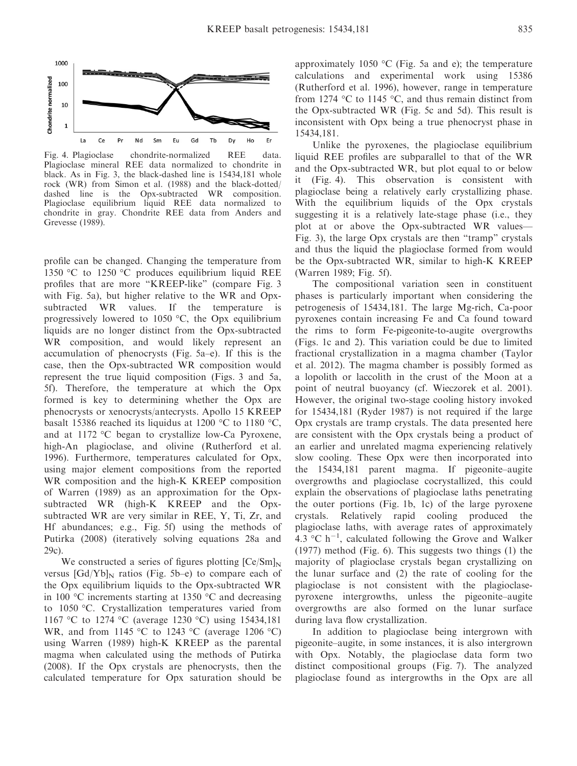

Fig. 4. Plagioclase chondrite-normalized REE data. Plagioclase mineral REE data normalized to chondrite in black. As in Fig. 3, the black-dashed line is 15434,181 whole rock (WR) from Simon et al. (1988) and the black-dotted/ dashed line is the Opx-subtracted WR composition. Plagioclase equilibrium liquid REE data normalized to chondrite in gray. Chondrite REE data from Anders and Grevesse (1989).

profile can be changed. Changing the temperature from 1350 °C to 1250 °C produces equilibrium liquid REE profiles that are more "KREEP-like" (compare Fig. 3 with Fig. 5a), but higher relative to the WR and Opxsubtracted WR values. If the temperature is progressively lowered to 1050 °C, the Opx equilibrium liquids are no longer distinct from the Opx-subtracted WR composition, and would likely represent an accumulation of phenocrysts (Fig. 5a–e). If this is the case, then the Opx-subtracted WR composition would represent the true liquid composition (Figs. 3 and 5a, 5f). Therefore, the temperature at which the Opx formed is key to determining whether the Opx are phenocrysts or xenocrysts/antecrysts. Apollo 15 KREEP basalt 15386 reached its liquidus at 1200 °C to 1180 °C, and at 1172 °C began to crystallize low-Ca Pyroxene, high-An plagioclase, and olivine (Rutherford et al. 1996). Furthermore, temperatures calculated for Opx, using major element compositions from the reported WR composition and the high-K KREEP composition of Warren (1989) as an approximation for the Opxsubtracted WR (high-K KREEP and the Opxsubtracted WR are very similar in REE, Y, Ti, Zr, and Hf abundances; e.g., Fig. 5f) using the methods of Putirka (2008) (iteratively solving equations 28a and 29c).

We constructed a series of figures plotting  $[Ce/Sm]_N$ versus  $\left[\text{Gd/Yb}\right]_{N}$  ratios (Fig. 5b–e) to compare each of the Opx equilibrium liquids to the Opx-subtracted WR in 100 °C increments starting at 1350 °C and decreasing to 1050 °C. Crystallization temperatures varied from 1167 °C to 1274 °C (average 1230 °C) using 15434,181 WR, and from 1145 °C to 1243 °C (average 1206 °C) using Warren (1989) high-K KREEP as the parental magma when calculated using the methods of Putirka (2008). If the Opx crystals are phenocrysts, then the calculated temperature for Opx saturation should be approximately 1050 °C (Fig. 5a and e); the temperature calculations and experimental work using 15386 (Rutherford et al. 1996), however, range in temperature from 1274  $\degree$ C to 1145  $\degree$ C, and thus remain distinct from the Opx-subtracted WR (Fig. 5c and 5d). This result is inconsistent with Opx being a true phenocryst phase in 15434,181.

Unlike the pyroxenes, the plagioclase equilibrium liquid REE profiles are subparallel to that of the WR and the Opx-subtracted WR, but plot equal to or below it (Fig. 4). This observation is consistent with plagioclase being a relatively early crystallizing phase. With the equilibrium liquids of the Opx crystals suggesting it is a relatively late-stage phase (i.e., they plot at or above the Opx-subtracted WR values— Fig. 3), the large Opx crystals are then "tramp" crystals and thus the liquid the plagioclase formed from would be the Opx-subtracted WR, similar to high-K KREEP (Warren 1989; Fig. 5f).

The compositional variation seen in constituent phases is particularly important when considering the petrogenesis of 15434,181. The large Mg-rich, Ca-poor pyroxenes contain increasing Fe and Ca found toward the rims to form Fe-pigeonite-to-augite overgrowths (Figs. 1c and 2). This variation could be due to limited fractional crystallization in a magma chamber (Taylor et al. 2012). The magma chamber is possibly formed as a lopolith or laccolith in the crust of the Moon at a point of neutral buoyancy (cf. Wieczorek et al. 2001). However, the original two-stage cooling history invoked for 15434,181 (Ryder 1987) is not required if the large Opx crystals are tramp crystals. The data presented here are consistent with the Opx crystals being a product of an earlier and unrelated magma experiencing relatively slow cooling. These Opx were then incorporated into the 15434,181 parent magma. If pigeonite–augite overgrowths and plagioclase cocrystallized, this could explain the observations of plagioclase laths penetrating the outer portions (Fig. 1b, 1c) of the large pyroxene crystals. Relatively rapid cooling produced the plagioclase laths, with average rates of approximately  $4.3$  °C h<sup>-1</sup>, calculated following the Grove and Walker (1977) method (Fig. 6). This suggests two things (1) the majority of plagioclase crystals began crystallizing on the lunar surface and (2) the rate of cooling for the plagioclase is not consistent with the plagioclasepyroxene intergrowths, unless the pigeonite–augite overgrowths are also formed on the lunar surface during lava flow crystallization.

In addition to plagioclase being intergrown with pigeonite–augite, in some instances, it is also intergrown with Opx. Notably, the plagioclase data form two distinct compositional groups (Fig. 7). The analyzed plagioclase found as intergrowths in the Opx are all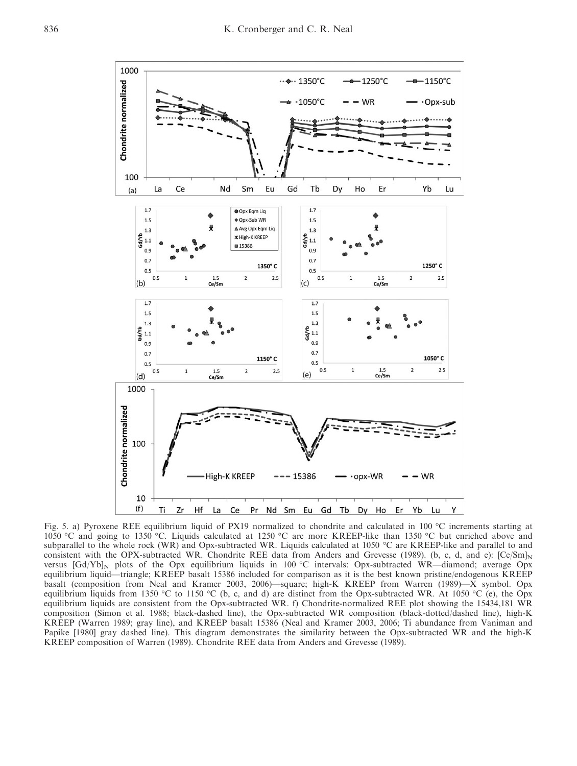

Fig. 5. a) Pyroxene REE equilibrium liquid of PX19 normalized to chondrite and calculated in 100 °C increments starting at 1050 °C and going to 1350 °C. Liquids calculated at 1250 °C are more KREEP-like than 1350 °C but enriched above and subparallel to the whole rock (WR) and Opx-subtracted WR. Liquids calculated at 1050 °C are KREEP-like and parallel to and consistent with the OPX-subtracted WR. Chondrite REE data from Anders and Grevesse (1989). (b, c, d, and e):  $[Ce/Sm]_N$ versus [Gd/Yb]<sub>N</sub> plots of the Opx equilibrium liquids in 100 °C intervals: Opx-subtracted WR—diamond; average Opx equilibrium liquid—triangle; KREEP basalt 15386 included for comparison as it is the best known pristine/endogenous KREEP basalt (composition from Neal and Kramer 2003, 2006)—square; high-K KREEP from Warren (1989)—X symbol. Opx equilibrium liquids from 1350 °C to 1150 °C (b, c, and d) are distinct from the Opx-subtracted WR. At 1050 °C (e), the Opx equilibrium liquids are consistent from the Opx-subtracted WR. f) Chondrite-normalized REE plot showing the 15434,181 WR composition (Simon et al. 1988; black-dashed line), the Opx-subtracted WR composition (black-dotted/dashed line), high-K KREEP (Warren 1989; gray line), and KREEP basalt 15386 (Neal and Kramer 2003, 2006; Ti abundance from Vaniman and Papike [1980] gray dashed line). This diagram demonstrates the similarity between the Opx-subtracted WR and the high-K KREEP composition of Warren (1989). Chondrite REE data from Anders and Grevesse (1989).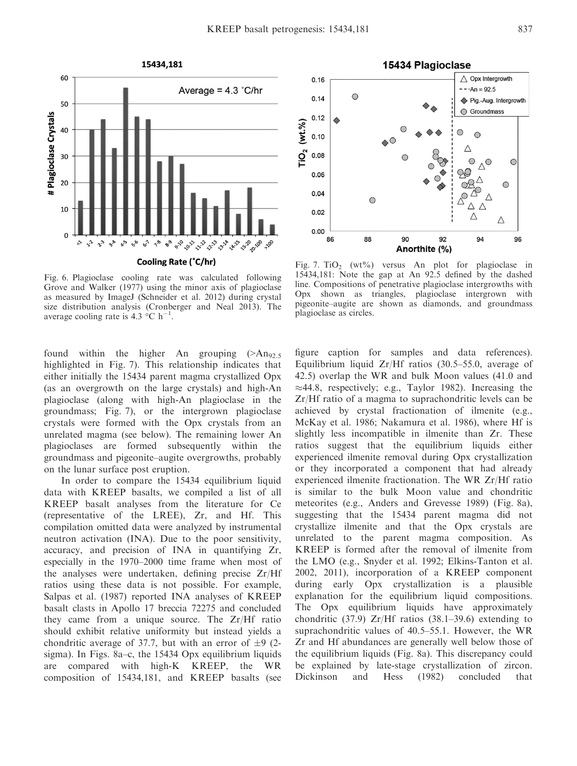

Fig. 6. Plagioclase cooling rate was calculated following Grove and Walker (1977) using the minor axis of plagioclase as measured by ImageJ (Schneider et al. 2012) during crystal size distribution analysis (Cronberger and Neal 2013). The average cooling rate is 4.3  $^{\circ}$ C h<sup>-1</sup> .

found within the higher An grouping  $(>\text{An}_{92.5})$ highlighted in Fig. 7). This relationship indicates that either initially the 15434 parent magma crystallized Opx (as an overgrowth on the large crystals) and high-An plagioclase (along with high-An plagioclase in the groundmass; Fig. 7), or the intergrown plagioclase crystals were formed with the Opx crystals from an unrelated magma (see below). The remaining lower An plagioclases are formed subsequently within the groundmass and pigeonite–augite overgrowths, probably on the lunar surface post eruption.

In order to compare the 15434 equilibrium liquid data with KREEP basalts, we compiled a list of all KREEP basalt analyses from the literature for Ce (representative of the LREE), Zr, and Hf. This compilation omitted data were analyzed by instrumental neutron activation (INA). Due to the poor sensitivity, accuracy, and precision of INA in quantifying Zr, especially in the 1970–2000 time frame when most of the analyses were undertaken, defining precise Zr/Hf ratios using these data is not possible. For example, Salpas et al. (1987) reported INA analyses of KREEP basalt clasts in Apollo 17 breccia 72275 and concluded they came from a unique source. The Zr/Hf ratio should exhibit relative uniformity but instead yields a chondritic average of 37.7, but with an error of  $\pm 9$  (2sigma). In Figs. 8a–c, the 15434 Opx equilibrium liquids are compared with high-K KREEP, the WR composition of 15434,181, and KREEP basalts (see



Fig. 7. TiO<sub>2</sub> (wt%) versus An plot for plagioclase in 15434,181: Note the gap at An 92.5 defined by the dashed line. Compositions of penetrative plagioclase intergrowths with Opx shown as triangles, plagioclase intergrown with pigeonite–augite are shown as diamonds, and groundmass plagioclase as circles.

figure caption for samples and data references). Equilibrium liquid  $Zr/Hf$  ratios (30.5–55.0, average of 42.5) overlap the WR and bulk Moon values (41.0 and  $\approx$ 44.8, respectively; e.g., Taylor 1982). Increasing the Zr/Hf ratio of a magma to suprachondritic levels can be achieved by crystal fractionation of ilmenite (e.g., McKay et al. 1986; Nakamura et al. 1986), where Hf is slightly less incompatible in ilmenite than Zr. These ratios suggest that the equilibrium liquids either experienced ilmenite removal during Opx crystallization or they incorporated a component that had already experienced ilmenite fractionation. The WR Zr/Hf ratio is similar to the bulk Moon value and chondritic meteorites (e.g., Anders and Grevesse 1989) (Fig. 8a), suggesting that the 15434 parent magma did not crystallize ilmenite and that the Opx crystals are unrelated to the parent magma composition. As KREEP is formed after the removal of ilmenite from the LMO (e.g., Snyder et al. 1992; Elkins-Tanton et al. 2002, 2011), incorporation of a KREEP component during early Opx crystallization is a plausible explanation for the equilibrium liquid compositions. The Opx equilibrium liquids have approximately chondritic (37.9)  $Zr/Hf$  ratios (38.1–39.6) extending to suprachondritic values of 40.5–55.1. However, the WR Zr and Hf abundances are generally well below those of the equilibrium liquids (Fig. 8a). This discrepancy could be explained by late-stage crystallization of zircon. Dickinson and Hess (1982) concluded that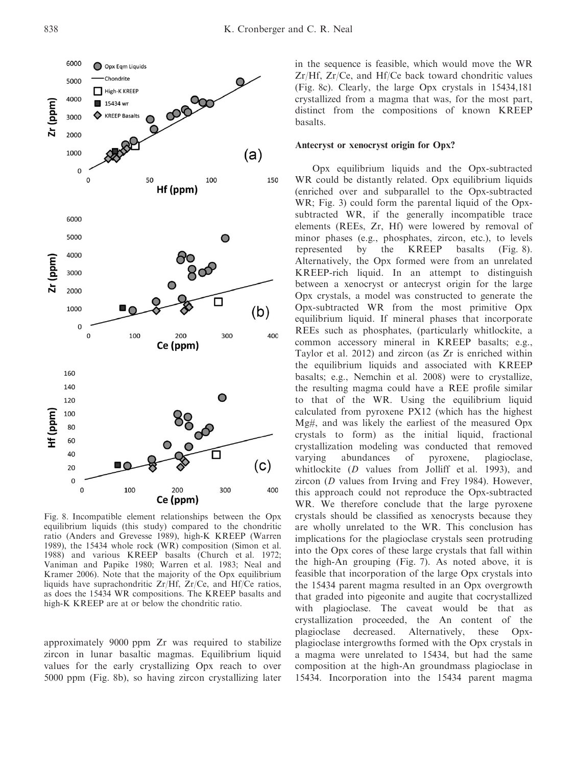

Fig. 8. Incompatible element relationships between the Opx equilibrium liquids (this study) compared to the chondritic ratio (Anders and Grevesse 1989), high-K KREEP (Warren 1989), the 15434 whole rock (WR) composition (Simon et al. 1988) and various KREEP basalts (Church et al. 1972; Vaniman and Papike 1980; Warren et al. 1983; Neal and Kramer 2006). Note that the majority of the Opx equilibrium liquids have suprachondritic Zr/Hf, Zr/Ce, and Hf/Ce ratios, as does the 15434 WR compositions. The KREEP basalts and high-K KREEP are at or below the chondritic ratio.

approximately 9000 ppm Zr was required to stabilize zircon in lunar basaltic magmas. Equilibrium liquid values for the early crystallizing Opx reach to over 5000 ppm (Fig. 8b), so having zircon crystallizing later in the sequence is feasible, which would move the WR Zr/Hf, Zr/Ce, and Hf/Ce back toward chondritic values (Fig. 8c). Clearly, the large Opx crystals in 15434,181 crystallized from a magma that was, for the most part, distinct from the compositions of known KREEP basalts.

## Antecryst or xenocryst origin for Opx?

Opx equilibrium liquids and the Opx-subtracted WR could be distantly related. Opx equilibrium liquids (enriched over and subparallel to the Opx-subtracted WR; Fig. 3) could form the parental liquid of the Opxsubtracted WR, if the generally incompatible trace elements (REEs, Zr, Hf) were lowered by removal of minor phases (e.g., phosphates, zircon, etc.), to levels represented by the KREEP basalts (Fig. 8). Alternatively, the Opx formed were from an unrelated KREEP-rich liquid. In an attempt to distinguish between a xenocryst or antecryst origin for the large Opx crystals, a model was constructed to generate the Opx-subtracted WR from the most primitive Opx equilibrium liquid. If mineral phases that incorporate REEs such as phosphates, (particularly whitlockite, a common accessory mineral in KREEP basalts; e.g., Taylor et al. 2012) and zircon (as Zr is enriched within the equilibrium liquids and associated with KREEP basalts; e.g., Nemchin et al. 2008) were to crystallize, the resulting magma could have a REE profile similar to that of the WR. Using the equilibrium liquid calculated from pyroxene PX12 (which has the highest Mg#, and was likely the earliest of the measured Opx crystals to form) as the initial liquid, fractional crystallization modeling was conducted that removed varying abundances of pyroxene, plagioclase, whitlockite (D values from Jolliff et al. 1993), and zircon (D values from Irving and Frey 1984). However, this approach could not reproduce the Opx-subtracted WR. We therefore conclude that the large pyroxene crystals should be classified as xenocrysts because they are wholly unrelated to the WR. This conclusion has implications for the plagioclase crystals seen protruding into the Opx cores of these large crystals that fall within the high-An grouping (Fig. 7). As noted above, it is feasible that incorporation of the large Opx crystals into the 15434 parent magma resulted in an Opx overgrowth that graded into pigeonite and augite that cocrystallized with plagioclase. The caveat would be that as crystallization proceeded, the An content of the plagioclase decreased. Alternatively, these Opxplagioclase intergrowths formed with the Opx crystals in a magma were unrelated to 15434, but had the same composition at the high-An groundmass plagioclase in 15434. Incorporation into the 15434 parent magma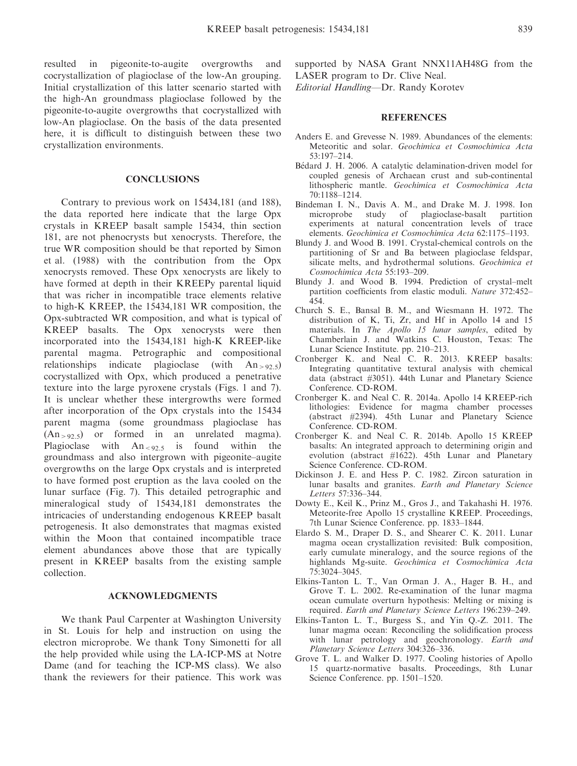resulted in pigeonite-to-augite overgrowths and cocrystallization of plagioclase of the low-An grouping. Initial crystallization of this latter scenario started with the high-An groundmass plagioclase followed by the pigeonite-to-augite overgrowths that cocrystallized with low-An plagioclase. On the basis of the data presented here, it is difficult to distinguish between these two crystallization environments.

### **CONCLUSIONS**

Contrary to previous work on 15434,181 (and 188), the data reported here indicate that the large Opx crystals in KREEP basalt sample 15434, thin section 181, are not phenocrysts but xenocrysts. Therefore, the true WR composition should be that reported by Simon et al. (1988) with the contribution from the Opx xenocrysts removed. These Opx xenocrysts are likely to have formed at depth in their KREEPy parental liquid that was richer in incompatible trace elements relative to high-K KREEP, the 15434,181 WR composition, the Opx-subtracted WR composition, and what is typical of KREEP basalts. The Opx xenocrysts were then incorporated into the 15434,181 high-K KREEP-like parental magma. Petrographic and compositional relationships indicate plagioclase (with  $An_{>92.5}$ ) cocrystallized with Opx, which produced a penetrative texture into the large pyroxene crystals (Figs. 1 and 7). It is unclear whether these intergrowths were formed after incorporation of the Opx crystals into the 15434 parent magma (some groundmass plagioclase has  $(An_{>92.5})$  or formed in an unrelated magma). Plagioclase with  $An_{< 92.5}$  is found within the groundmass and also intergrown with pigeonite–augite overgrowths on the large Opx crystals and is interpreted to have formed post eruption as the lava cooled on the lunar surface (Fig. 7). This detailed petrographic and mineralogical study of 15434,181 demonstrates the intricacies of understanding endogenous KREEP basalt petrogenesis. It also demonstrates that magmas existed within the Moon that contained incompatible trace element abundances above those that are typically present in KREEP basalts from the existing sample collection.

### ACKNOWLEDGMENTS

We thank Paul Carpenter at Washington University in St. Louis for help and instruction on using the electron microprobe. We thank Tony Simonetti for all the help provided while using the LA-ICP-MS at Notre Dame (and for teaching the ICP-MS class). We also thank the reviewers for their patience. This work was supported by NASA Grant NNX11AH48G from the LASER program to Dr. Clive Neal.

Editorial Handling—Dr. Randy Korotev

- Anders E. and Grevesse N. 1989. Abundances of the elements: Meteoritic and solar. Geochimica et Cosmochimica Acta 53:197–214.
- Bedard J. H. 2006. A catalytic delamination-driven model for coupled genesis of Archaean crust and sub-continental lithospheric mantle. Geochimica et Cosmochimica Acta 70:1188–1214.
- Bindeman I. N., Davis A. M., and Drake M. J. 1998. Ion microprobe study of plagioclase-basalt partition experiments at natural concentration levels of trace elements. Geochimica et Cosmochimica Acta 62:1175–1193.
- Blundy J. and Wood B. 1991. Crystal-chemical controls on the partitioning of Sr and Ba between plagioclase feldspar, silicate melts, and hydrothermal solutions. Geochimica et Cosmochimica Acta 55:193–209.
- Blundy J. and Wood B. 1994. Prediction of crystal–melt partition coefficients from elastic moduli. Nature 372:452– 454.
- Church S. E., Bansal B. M., and Wiesmann H. 1972. The distribution of K, Ti, Zr, and Hf in Apollo 14 and 15 materials. In The Apollo 15 lunar samples, edited by Chamberlain J. and Watkins C. Houston, Texas: The Lunar Science Institute. pp. 210–213.
- Cronberger K. and Neal C. R. 2013. KREEP basalts: Integrating quantitative textural analysis with chemical data (abstract #3051). 44th Lunar and Planetary Science Conference. CD-ROM.
- Cronberger K. and Neal C. R. 2014a. Apollo 14 KREEP-rich lithologies: Evidence for magma chamber processes (abstract #2394). 45th Lunar and Planetary Science Conference. CD-ROM.
- Cronberger K. and Neal C. R. 2014b. Apollo 15 KREEP basalts: An integrated approach to determining origin and evolution (abstract #1622). 45th Lunar and Planetary Science Conference. CD-ROM.
- Dickinson J. E. and Hess P. C. 1982. Zircon saturation in lunar basalts and granites. Earth and Planetary Science Letters 57:336–344.
- Dowty E., Keil K., Prinz M., Gros J., and Takahashi H. 1976. Meteorite-free Apollo 15 crystalline KREEP. Proceedings, 7th Lunar Science Conference. pp. 1833–1844.
- Elardo S. M., Draper D. S., and Shearer C. K. 2011. Lunar magma ocean crystallization revisited: Bulk composition, early cumulate mineralogy, and the source regions of the highlands Mg-suite. Geochimica et Cosmochimica Acta 75:3024–3045.
- Elkins-Tanton L. T., Van Orman J. A., Hager B. H., and Grove T. L. 2002. Re-examination of the lunar magma ocean cumulate overturn hypothesis: Melting or mixing is required. Earth and Planetary Science Letters 196:239–249.
- Elkins-Tanton L. T., Burgess S., and Yin Q.-Z. 2011. The lunar magma ocean: Reconciling the solidification process with lunar petrology and geochronology. Earth and Planetary Science Letters 304:326–336.
- Grove T. L. and Walker D. 1977. Cooling histories of Apollo 15 quartz-normative basalts. Proceedings, 8th Lunar Science Conference. pp. 1501–1520.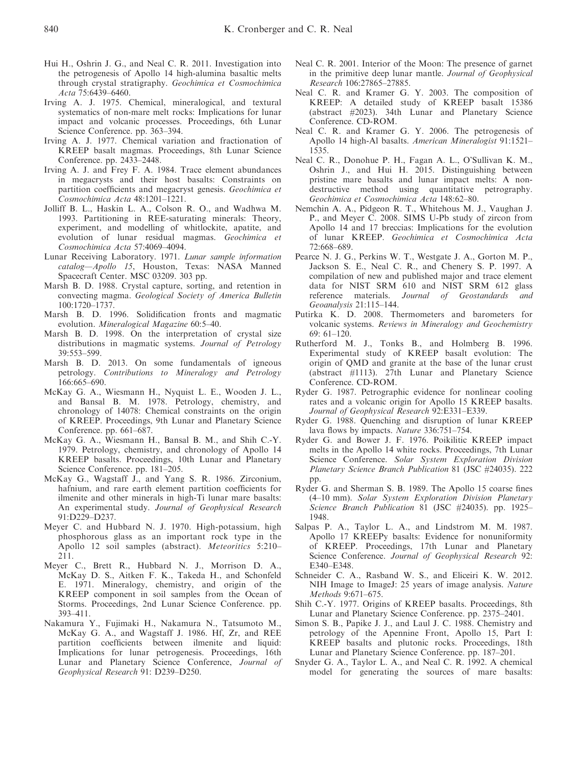- Hui H., Oshrin J. G., and Neal C. R. 2011. Investigation into the petrogenesis of Apollo 14 high-alumina basaltic melts through crystal stratigraphy. Geochimica et Cosmochimica Acta 75:6439–6460.
- Irving A. J. 1975. Chemical, mineralogical, and textural systematics of non-mare melt rocks: Implications for lunar impact and volcanic processes. Proceedings, 6th Lunar Science Conference. pp. 363–394.
- Irving A. J. 1977. Chemical variation and fractionation of KREEP basalt magmas. Proceedings, 8th Lunar Science Conference. pp. 2433–2448.
- Irving A. J. and Frey F. A. 1984. Trace element abundances in megacrysts and their host basalts: Constraints on partition coefficients and megacryst genesis. Geochimica et Cosmochimica Acta 48:1201–1221.
- Jolliff B. L., Haskin L. A., Colson R. O., and Wadhwa M. 1993. Partitioning in REE-saturating minerals: Theory, experiment, and modelling of whitlockite, apatite, and evolution of lunar residual magmas. Geochimica et Cosmochimica Acta 57:4069–4094.
- Lunar Receiving Laboratory. 1971. Lunar sample information catalog—Apollo 15, Houston, Texas: NASA Manned Spacecraft Center. MSC 03209. 303 pp.
- Marsh B. D. 1988. Crystal capture, sorting, and retention in convecting magma. Geological Society of America Bulletin 100:1720–1737.
- Marsh B. D. 1996. Solidification fronts and magmatic evolution. Mineralogical Magazine 60:5–40.
- Marsh B. D. 1998. On the interpretation of crystal size distributions in magmatic systems. Journal of Petrology 39:553–599.
- Marsh B. D. 2013. On some fundamentals of igneous petrology. Contributions to Mineralogy and Petrology 166:665–690.
- McKay G. A., Wiesmann H., Nyquist L. E., Wooden J. L., and Bansal B. M. 1978. Petrology, chemistry, and chronology of 14078: Chemical constraints on the origin of KREEP. Proceedings, 9th Lunar and Planetary Science Conference. pp. 661–687.
- McKay G. A., Wiesmann H., Bansal B. M., and Shih C.-Y. 1979. Petrology, chemistry, and chronology of Apollo 14 KREEP basalts. Proceedings, 10th Lunar and Planetary Science Conference. pp. 181–205.
- McKay G., Wagstaff J., and Yang S. R. 1986. Zirconium, hafnium, and rare earth element partition coefficients for ilmenite and other minerals in high-Ti lunar mare basalts: An experimental study. Journal of Geophysical Research 91:D229–D237.
- Meyer C. and Hubbard N. J. 1970. High-potassium, high phosphorous glass as an important rock type in the Apollo 12 soil samples (abstract). Meteoritics 5:210– 211.
- Meyer C., Brett R., Hubbard N. J., Morrison D. A., McKay D. S., Aitken F. K., Takeda H., and Schonfeld E. 1971. Mineralogy, chemistry, and origin of the KREEP component in soil samples from the Ocean of Storms. Proceedings, 2nd Lunar Science Conference. pp. 393–411.
- Nakamura Y., Fujimaki H., Nakamura N., Tatsumoto M., McKay G. A., and Wagstaff J. 1986. Hf, Zr, and REE partition coefficients between ilmenite and liquid: Implications for lunar petrogenesis. Proceedings, 16th Lunar and Planetary Science Conference, Journal of Geophysical Research 91: D239–D250.
- Neal C. R. 2001. Interior of the Moon: The presence of garnet in the primitive deep lunar mantle. Journal of Geophysical Research 106:27865–27885.
- Neal C. R. and Kramer G. Y. 2003. The composition of KREEP: A detailed study of KREEP basalt 15386 (abstract #2023). 34th Lunar and Planetary Science Conference. CD-ROM.
- Neal C. R. and Kramer G. Y. 2006. The petrogenesis of Apollo 14 high-Al basalts. American Mineralogist 91:1521– 1535.
- Neal C. R., Donohue P. H., Fagan A. L., O'Sullivan K. M., Oshrin J., and Hui H. 2015. Distinguishing between pristine mare basalts and lunar impact melts: A nondestructive method using quantitative petrography. Geochimica et Cosmochimica Acta 148:62–80.
- Nemchin A. A., Pidgeon R. T., Whitehous M. J., Vaughan J. P., and Meyer C. 2008. SIMS U-Pb study of zircon from Apollo 14 and 17 breccias: Implications for the evolution of lunar KREEP. Geochimica et Cosmochimica Acta 72:668–689.
- Pearce N. J. G., Perkins W. T., Westgate J. A., Gorton M. P., Jackson S. E., Neal C. R., and Chenery S. P. 1997. A compilation of new and published major and trace element data for NIST SRM 610 and NIST SRM 612 glass reference materials. Journal of Geostandards and Geoanalysis 21:115–144.
- Putirka K. D. 2008. Thermometers and barometers for volcanic systems. Reviews in Mineralogy and Geochemistry 69: 61–120.
- Rutherford M. J., Tonks B., and Holmberg B. 1996. Experimental study of KREEP basalt evolution: The origin of QMD and granite at the base of the lunar crust (abstract #1113). 27th Lunar and Planetary Science Conference. CD-ROM.
- Ryder G. 1987. Petrographic evidence for nonlinear cooling rates and a volcanic origin for Apollo 15 KREEP basalts. Journal of Geophysical Research 92:E331–E339.
- Ryder G. 1988. Quenching and disruption of lunar KREEP lava flows by impacts. Nature 336:751–754.
- Ryder G. and Bower J. F. 1976. Poikilitic KREEP impact melts in the Apollo 14 white rocks. Proceedings, 7th Lunar Science Conference. Solar System Exploration Division Planetary Science Branch Publication 81 (JSC #24035). 222 pp.
- Ryder G. and Sherman S. B. 1989. The Apollo 15 coarse fines (4–10 mm). Solar System Exploration Division Planetary Science Branch Publication 81 (JSC #24035). pp. 1925– 1948.
- Salpas P. A., Taylor L. A., and Lindstrom M. M. 1987. Apollo 17 KREEPy basalts: Evidence for nonuniformity of KREEP. Proceedings, 17th Lunar and Planetary Science Conference. Journal of Geophysical Research 92: E340–E348.
- Schneider C. A., Rasband W. S., and Eliceiri K. W. 2012. NIH Image to ImageJ: 25 years of image analysis. Nature Methods 9:671–675.
- Shih C.-Y. 1977. Origins of KREEP basalts. Proceedings, 8th Lunar and Planetary Science Conference. pp. 2375–2401.
- Simon S. B., Papike J. J., and Laul J. C. 1988. Chemistry and petrology of the Apennine Front, Apollo 15, Part I: KREEP basalts and plutonic rocks. Proceedings, 18th Lunar and Planetary Science Conference. pp. 187–201.
- Snyder G. A., Taylor L. A., and Neal C. R. 1992. A chemical model for generating the sources of mare basalts: